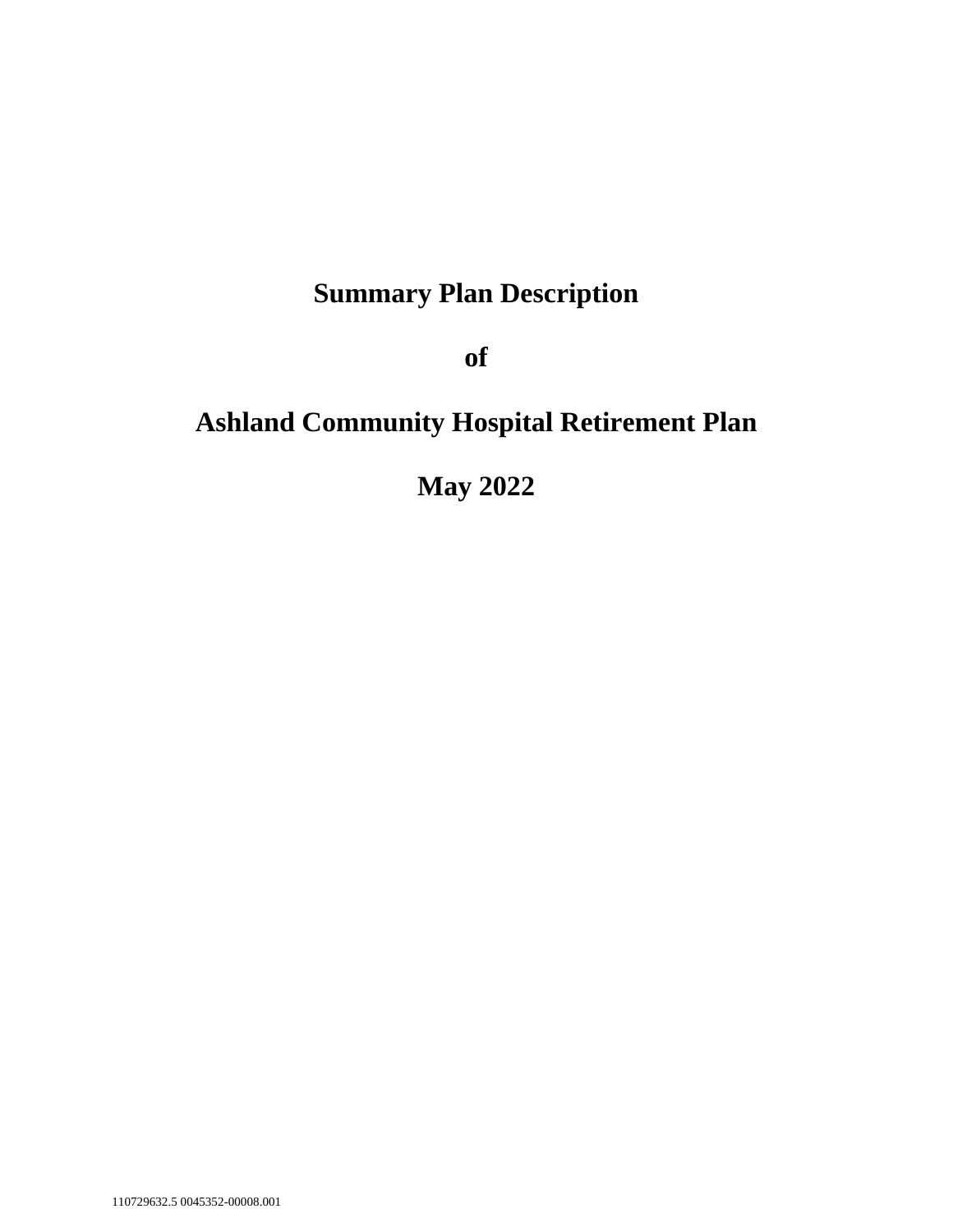# **Summary Plan Description**

**of**

# **Ashland Community Hospital Retirement Plan**

**May 2022**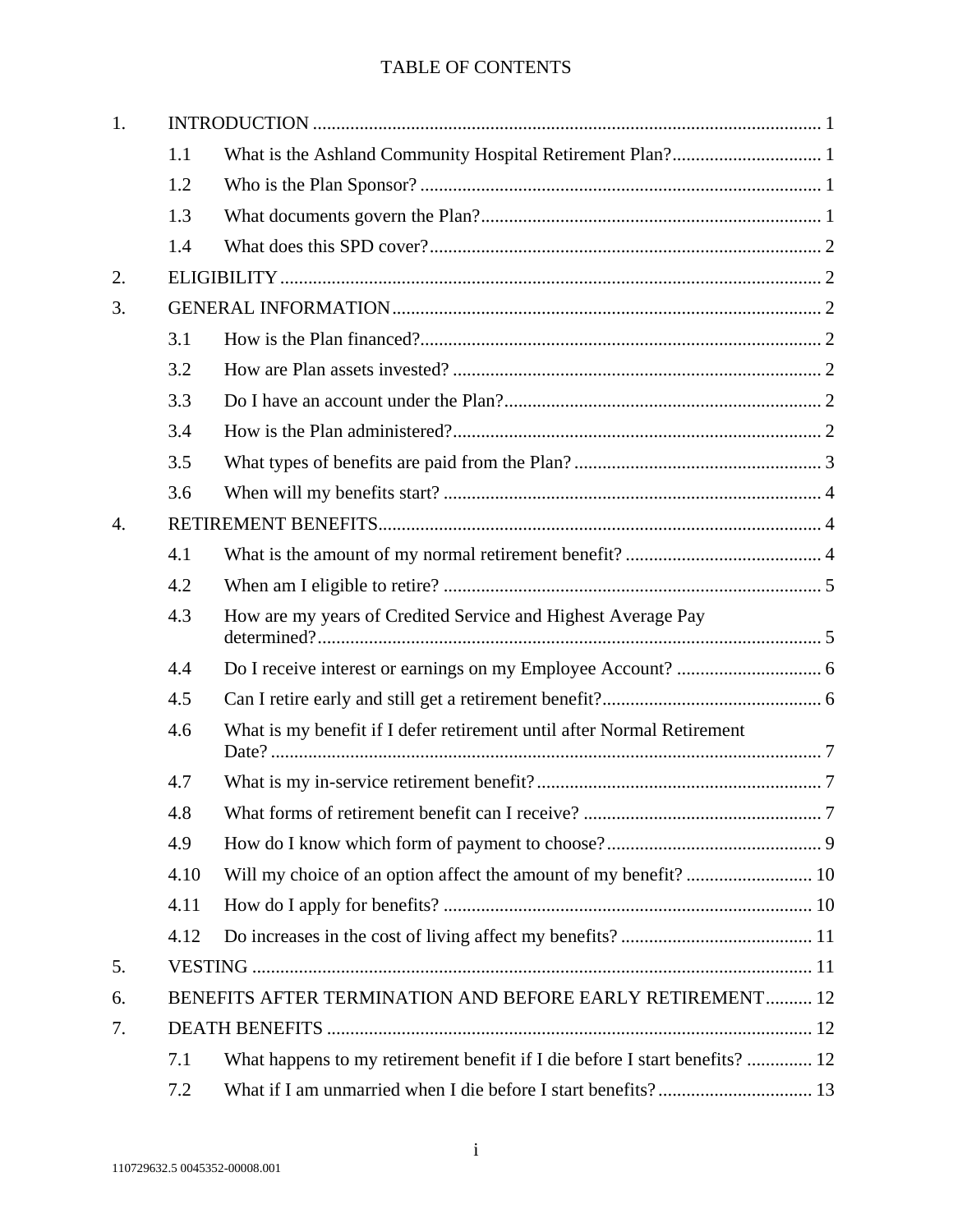# TABLE OF CONTENTS

| 1.               |                                                           |                                                                            |  |  |  |
|------------------|-----------------------------------------------------------|----------------------------------------------------------------------------|--|--|--|
|                  | 1.1                                                       |                                                                            |  |  |  |
|                  | 1.2                                                       |                                                                            |  |  |  |
|                  | 1.3                                                       |                                                                            |  |  |  |
|                  | 1.4                                                       |                                                                            |  |  |  |
| 2.               |                                                           |                                                                            |  |  |  |
| 3.               |                                                           |                                                                            |  |  |  |
|                  | 3.1                                                       |                                                                            |  |  |  |
|                  | 3.2                                                       |                                                                            |  |  |  |
|                  | 3.3                                                       |                                                                            |  |  |  |
|                  | 3.4                                                       |                                                                            |  |  |  |
|                  | 3.5                                                       |                                                                            |  |  |  |
|                  | 3.6                                                       |                                                                            |  |  |  |
| $\overline{4}$ . |                                                           |                                                                            |  |  |  |
|                  | 4.1                                                       |                                                                            |  |  |  |
|                  | 4.2                                                       |                                                                            |  |  |  |
|                  | 4.3                                                       | How are my years of Credited Service and Highest Average Pay               |  |  |  |
|                  | 4.4                                                       |                                                                            |  |  |  |
|                  | 4.5                                                       |                                                                            |  |  |  |
|                  | 4.6                                                       | What is my benefit if I defer retirement until after Normal Retirement     |  |  |  |
|                  | 4.7                                                       |                                                                            |  |  |  |
|                  | 4.8                                                       |                                                                            |  |  |  |
|                  | 4.9                                                       |                                                                            |  |  |  |
|                  | 4.10                                                      |                                                                            |  |  |  |
|                  | 4.11                                                      |                                                                            |  |  |  |
|                  | 4.12                                                      |                                                                            |  |  |  |
| 5.               |                                                           |                                                                            |  |  |  |
| 6.               | BENEFITS AFTER TERMINATION AND BEFORE EARLY RETIREMENT 12 |                                                                            |  |  |  |
| 7.               |                                                           |                                                                            |  |  |  |
|                  | 7.1                                                       | What happens to my retirement benefit if I die before I start benefits? 12 |  |  |  |
|                  | 7.2                                                       |                                                                            |  |  |  |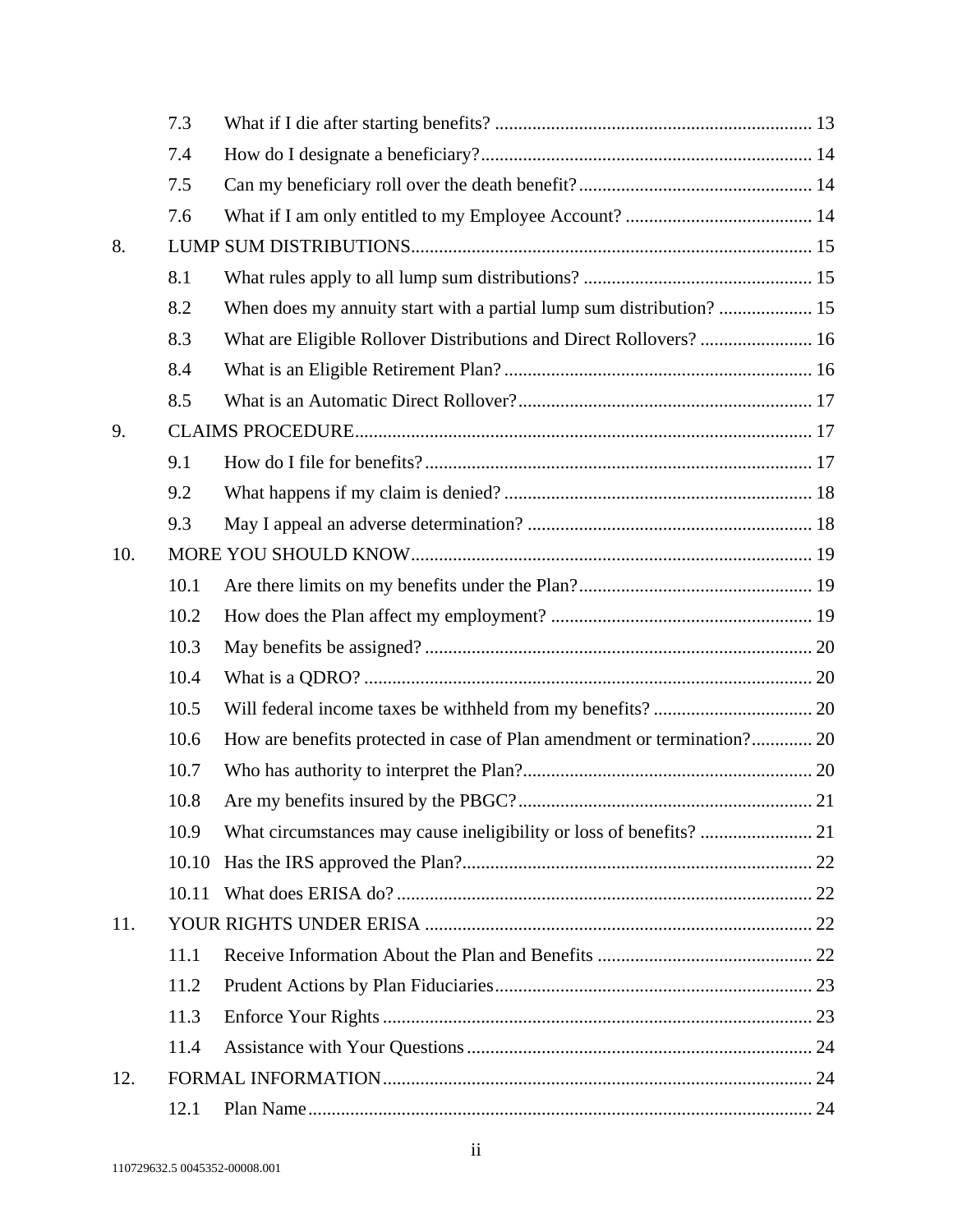|     | 7.3   |                                                                         |  |
|-----|-------|-------------------------------------------------------------------------|--|
|     | 7.4   |                                                                         |  |
|     | 7.5   |                                                                         |  |
|     | 7.6   |                                                                         |  |
| 8.  |       |                                                                         |  |
|     | 8.1   |                                                                         |  |
|     | 8.2   |                                                                         |  |
|     | 8.3   | What are Eligible Rollover Distributions and Direct Rollovers?  16      |  |
|     | 8.4   |                                                                         |  |
|     | 8.5   |                                                                         |  |
| 9.  |       |                                                                         |  |
|     | 9.1   |                                                                         |  |
|     | 9.2   |                                                                         |  |
|     | 9.3   |                                                                         |  |
| 10. |       |                                                                         |  |
|     | 10.1  |                                                                         |  |
|     | 10.2  |                                                                         |  |
|     | 10.3  |                                                                         |  |
|     | 10.4  |                                                                         |  |
|     | 10.5  |                                                                         |  |
|     | 10.6  | How are benefits protected in case of Plan amendment or termination? 20 |  |
|     | 10.7  |                                                                         |  |
|     | 10.8  |                                                                         |  |
|     | 10.9  |                                                                         |  |
|     | 10.10 |                                                                         |  |
|     | 10.11 |                                                                         |  |
| 11. |       |                                                                         |  |
|     | 11.1  |                                                                         |  |
|     | 11.2  |                                                                         |  |
|     | 11.3  |                                                                         |  |
|     | 11.4  |                                                                         |  |
| 12. |       |                                                                         |  |
|     | 12.1  |                                                                         |  |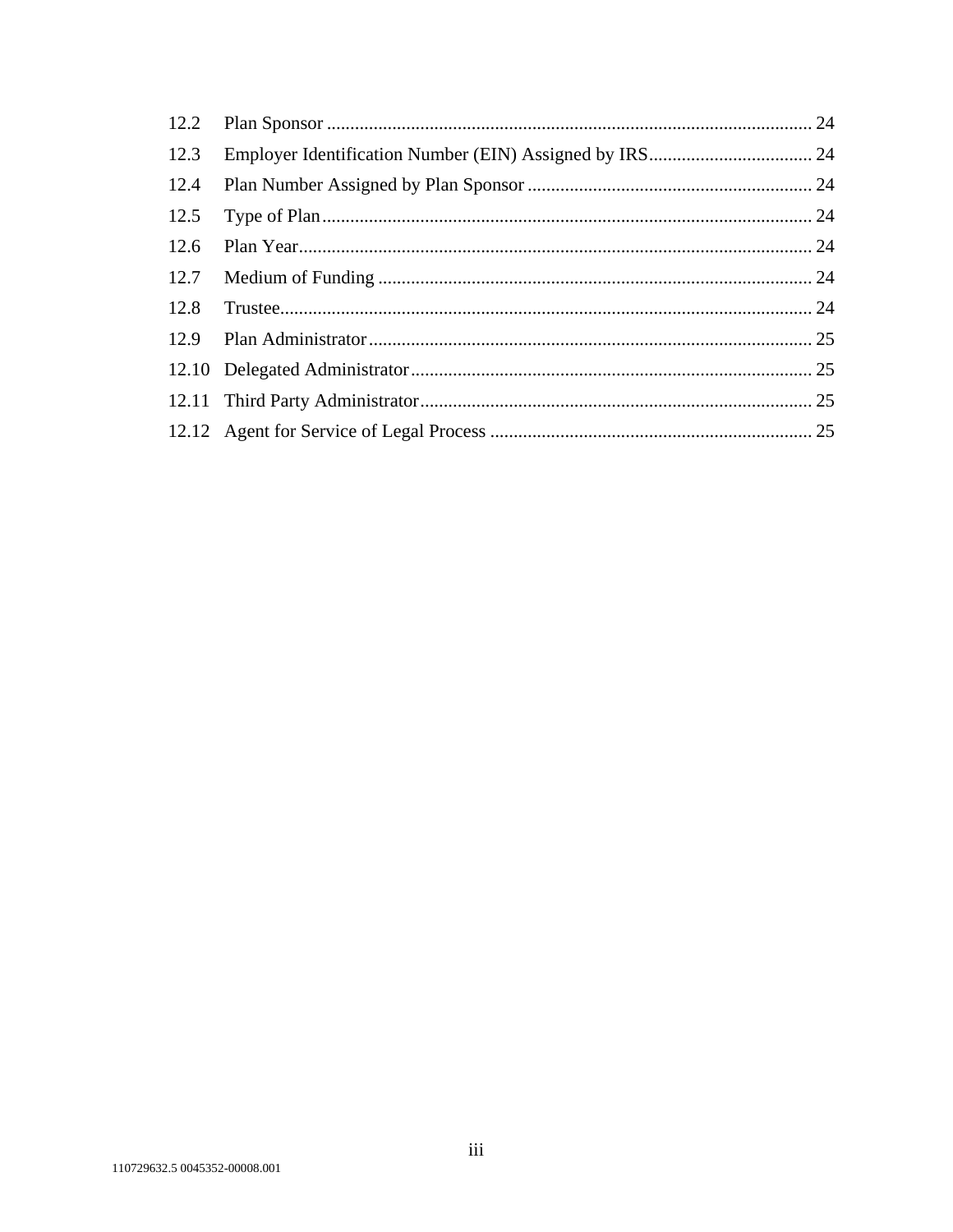| 12.3 |  |
|------|--|
| 12.4 |  |
| 12.5 |  |
| 12.6 |  |
| 12.7 |  |
| 12.8 |  |
|      |  |
|      |  |
|      |  |
|      |  |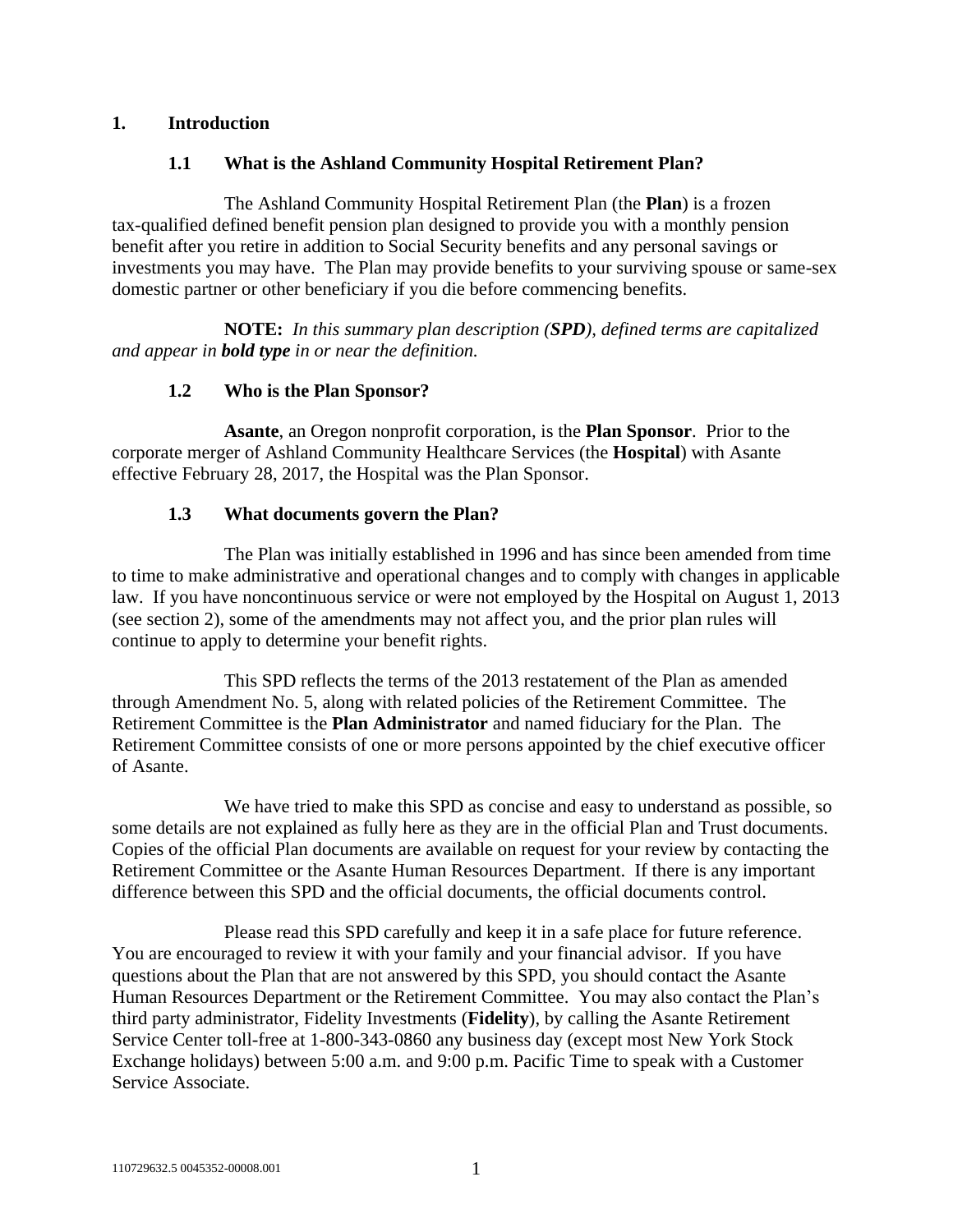#### **1. Introduction**

## **1.1 What is the Ashland Community Hospital Retirement Plan?**

The Ashland Community Hospital Retirement Plan (the **Plan**) is a frozen tax-qualified defined benefit pension plan designed to provide you with a monthly pension benefit after you retire in addition to Social Security benefits and any personal savings or investments you may have. The Plan may provide benefits to your surviving spouse or same-sex domestic partner or other beneficiary if you die before commencing benefits.

**NOTE:** *In this summary plan description (SPD), defined terms are capitalized and appear in bold type in or near the definition.*

## **1.2 Who is the Plan Sponsor?**

**Asante**, an Oregon nonprofit corporation, is the **Plan Sponsor**. Prior to the corporate merger of Ashland Community Healthcare Services (the **Hospital**) with Asante effective February 28, 2017, the Hospital was the Plan Sponsor.

#### **1.3 What documents govern the Plan?**

The Plan was initially established in 1996 and has since been amended from time to time to make administrative and operational changes and to comply with changes in applicable law. If you have noncontinuous service or were not employed by the Hospital on August 1, 2013 (see section [2\)](#page-5-0), some of the amendments may not affect you, and the prior plan rules will continue to apply to determine your benefit rights.

This SPD reflects the terms of the 2013 restatement of the Plan as amended through Amendment No. 5, along with related policies of the Retirement Committee. The Retirement Committee is the **Plan Administrator** and named fiduciary for the Plan. The Retirement Committee consists of one or more persons appointed by the chief executive officer of Asante.

We have tried to make this SPD as concise and easy to understand as possible, so some details are not explained as fully here as they are in the official Plan and Trust documents. Copies of the official Plan documents are available on request for your review by contacting the Retirement Committee or the Asante Human Resources Department. If there is any important difference between this SPD and the official documents, the official documents control.

Please read this SPD carefully and keep it in a safe place for future reference. You are encouraged to review it with your family and your financial advisor. If you have questions about the Plan that are not answered by this SPD, you should contact the Asante Human Resources Department or the Retirement Committee. You may also contact the Plan's third party administrator, Fidelity Investments (**Fidelity**), by calling the Asante Retirement Service Center toll-free at 1-800-343-0860 any business day (except most New York Stock Exchange holidays) between 5:00 a.m. and 9:00 p.m. Pacific Time to speak with a Customer Service Associate.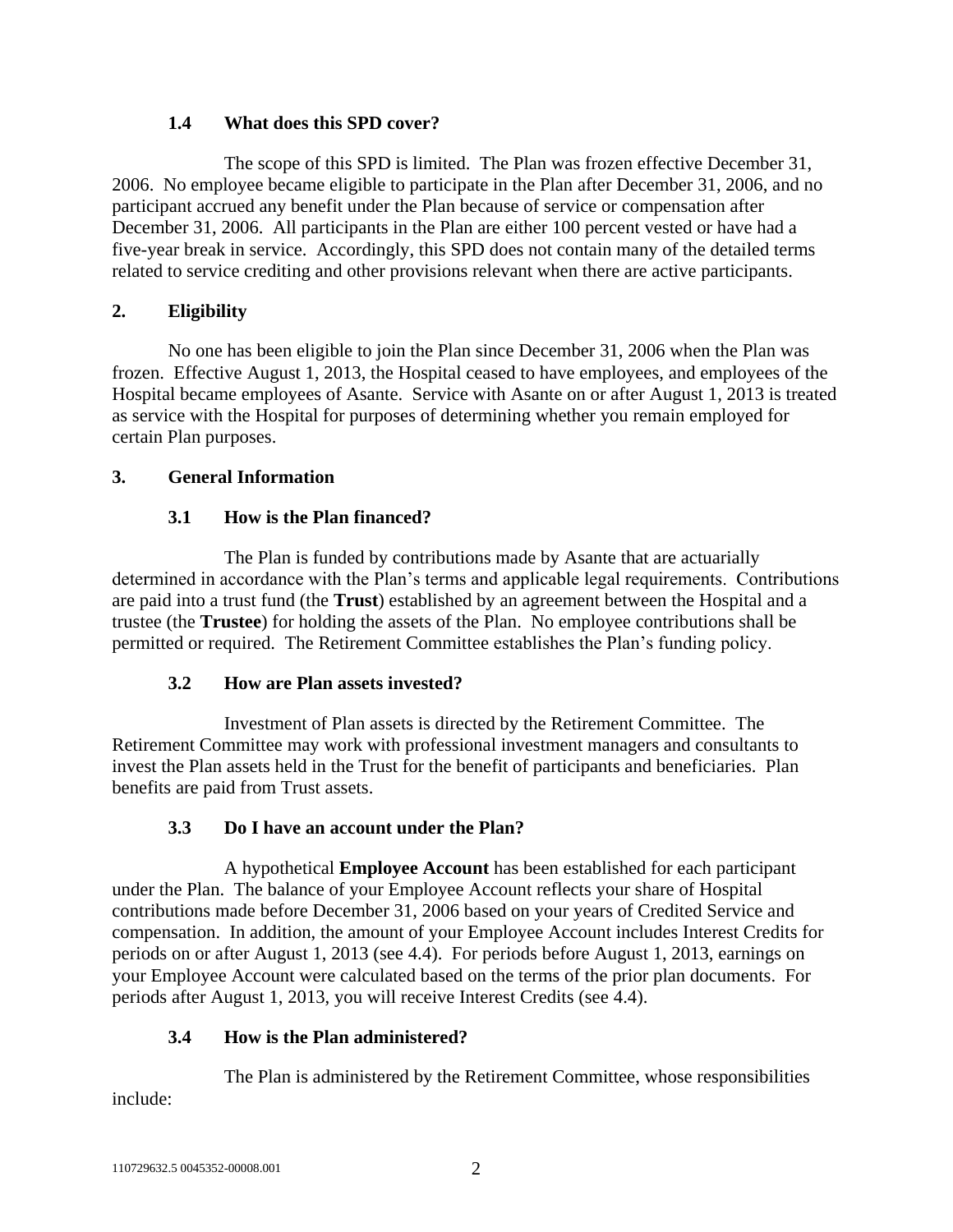## **1.4 What does this SPD cover?**

The scope of this SPD is limited. The Plan was frozen effective December 31, 2006. No employee became eligible to participate in the Plan after December 31, 2006, and no participant accrued any benefit under the Plan because of service or compensation after December 31, 2006. All participants in the Plan are either 100 percent vested or have had a five-year break in service. Accordingly, this SPD does not contain many of the detailed terms related to service crediting and other provisions relevant when there are active participants.

## <span id="page-5-0"></span>**2. Eligibility**

No one has been eligible to join the Plan since December 31, 2006 when the Plan was frozen. Effective August 1, 2013, the Hospital ceased to have employees, and employees of the Hospital became employees of Asante. Service with Asante on or after August 1, 2013 is treated as service with the Hospital for purposes of determining whether you remain employed for certain Plan purposes.

## **3. General Information**

## **3.1 How is the Plan financed?**

The Plan is funded by contributions made by Asante that are actuarially determined in accordance with the Plan's terms and applicable legal requirements. Contributions are paid into a trust fund (the **Trust**) established by an agreement between the Hospital and a trustee (the **Trustee**) for holding the assets of the Plan. No employee contributions shall be permitted or required. The Retirement Committee establishes the Plan's funding policy.

## **3.2 How are Plan assets invested?**

Investment of Plan assets is directed by the Retirement Committee. The Retirement Committee may work with professional investment managers and consultants to invest the Plan assets held in the Trust for the benefit of participants and beneficiaries. Plan benefits are paid from Trust assets.

## **3.3 Do I have an account under the Plan?**

A hypothetical **Employee Account** has been established for each participant under the Plan. The balance of your Employee Account reflects your share of Hospital contributions made before December 31, 2006 based on your years of Credited Service and compensation. In addition, the amount of your Employee Account includes Interest Credits for periods on or after August 1, 2013 (see [4.4\)](#page-9-0). For periods before August 1, 2013, earnings on your Employee Account were calculated based on the terms of the prior plan documents. For periods after August 1, 2013, you will receive Interest Credits (see [4.4\)](#page-9-0).

## **3.4 How is the Plan administered?**

The Plan is administered by the Retirement Committee, whose responsibilities include: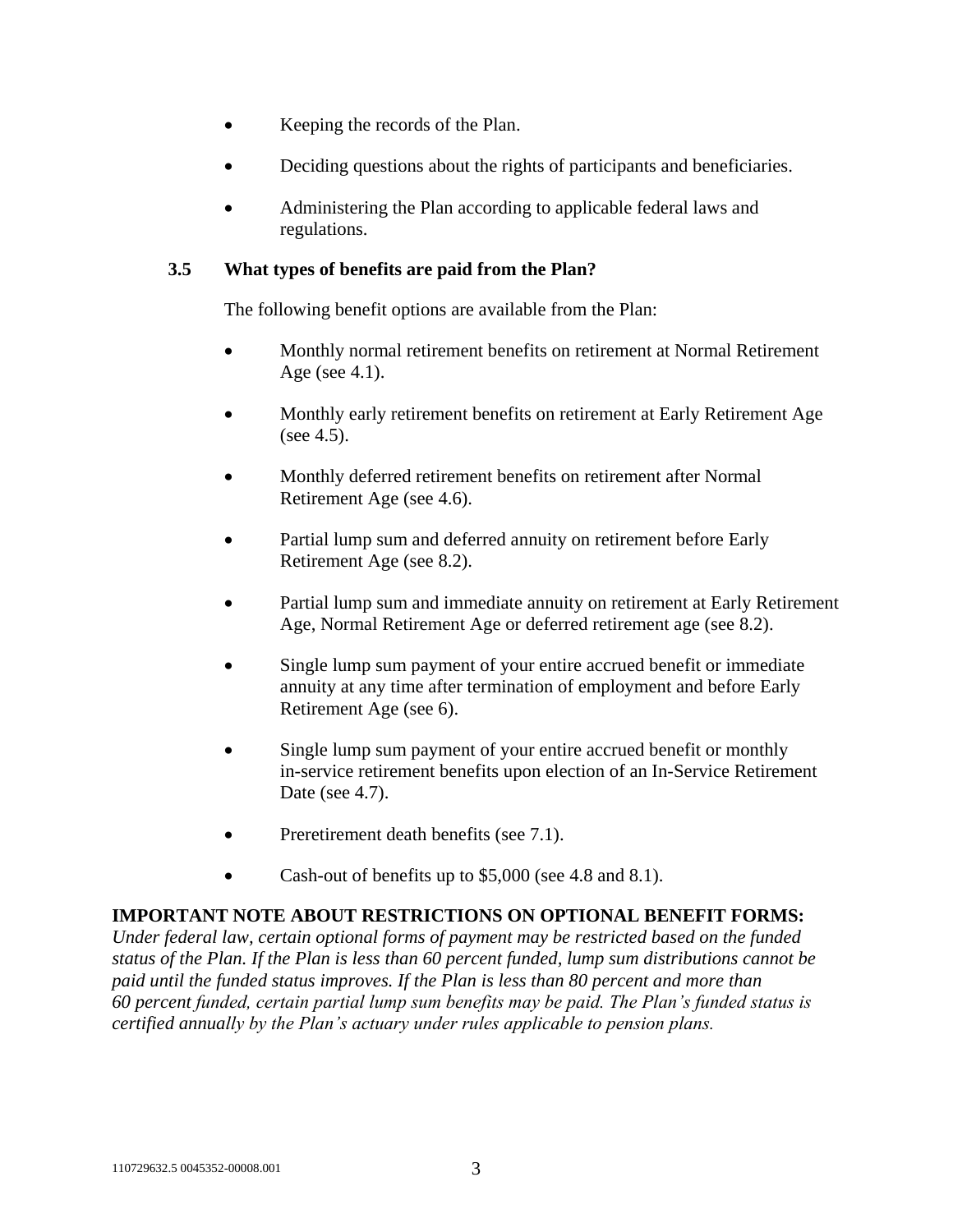- Keeping the records of the Plan.
- Deciding questions about the rights of participants and beneficiaries.
- Administering the Plan according to applicable federal laws and regulations.

## <span id="page-6-0"></span>**3.5 What types of benefits are paid from the Plan?**

The following benefit options are available from the Plan:

- Monthly normal retirement benefits on retirement at Normal Retirement Age (see [4.1\)](#page-7-0).
- Monthly early retirement benefits on retirement at Early Retirement Age (see [4.5\)](#page-9-1).
- Monthly deferred retirement benefits on retirement after Normal Retirement Age (see [4.6\)](#page-10-0).
- Partial lump sum and deferred annuity on retirement before Early Retirement Age (see [8.2\)](#page-18-0).
- Partial lump sum and immediate annuity on retirement at Early Retirement Age, Normal Retirement Age or deferred retirement age (see [8.2\)](#page-18-0).
- Single lump sum payment of your entire accrued benefit or immediate annuity at any time after termination of employment and before Early Retirement Age (see 6).
- Single lump sum payment of your entire accrued benefit or monthly in-service retirement benefits upon election of an In-Service Retirement Date (see [4.7\)](#page-10-1).
- Preretirement death benefits (see [7.1\)](#page-15-0).
- Cash-out of benefits up to \$5,000 (see [4.8](#page-10-2) and [8.1\)](#page-18-1).

## **IMPORTANT NOTE ABOUT RESTRICTIONS ON OPTIONAL BENEFIT FORMS:**

*Under federal law, certain optional forms of payment may be restricted based on the funded status of the Plan. If the Plan is less than 60 percent funded, lump sum distributions cannot be paid until the funded status improves. If the Plan is less than 80 percent and more than 60 percent funded, certain partial lump sum benefits may be paid. The Plan's funded status is certified annually by the Plan's actuary under rules applicable to pension plans.*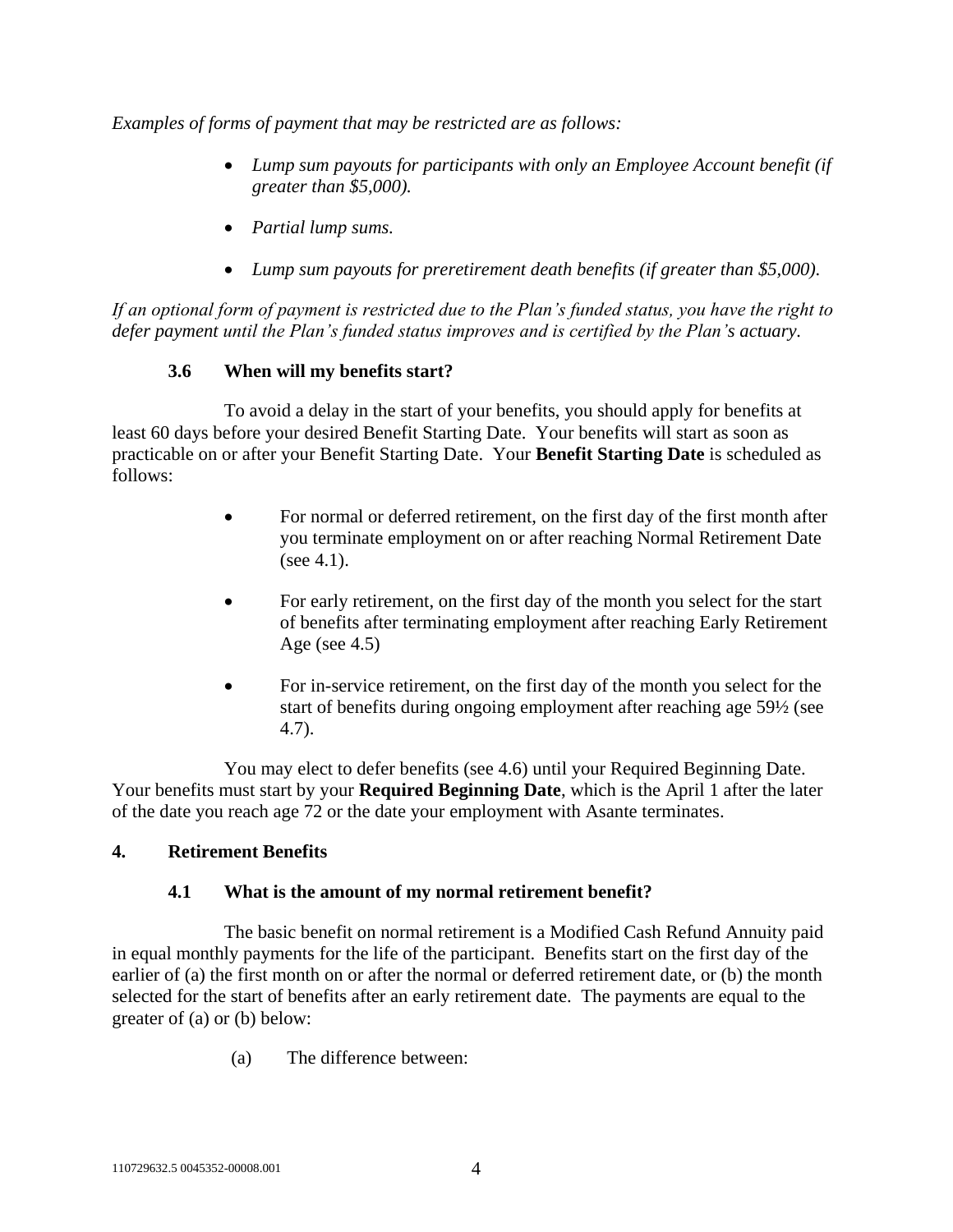*Examples of forms of payment that may be restricted are as follows:*

- *Lump sum payouts for participants with only an Employee Account benefit (if greater than \$5,000).*
- *Partial lump sums.*
- *Lump sum payouts for preretirement death benefits (if greater than \$5,000).*

*If an optional form of payment is restricted due to the Plan's funded status, you have the right to defer payment until the Plan's funded status improves and is certified by the Plan's actuary.* 

## **3.6 When will my benefits start?**

<span id="page-7-1"></span>To avoid a delay in the start of your benefits, you should apply for benefits at least 60 days before your desired Benefit Starting Date. Your benefits will start as soon as practicable on or after your Benefit Starting Date. Your **Benefit Starting Date** is scheduled as follows:

- For normal or deferred retirement, on the first day of the first month after you terminate employment on or after reaching Normal Retirement Date (see [4.1\)](#page-7-0).
- For early retirement, on the first day of the month you select for the start of benefits after terminating employment after reaching Early Retirement Age (see  $4.5$ )
- For in-service retirement, on the first day of the month you select for the start of benefits during ongoing employment after reaching age 59½ (see [4.7\)](#page-10-1).

You may elect to defer benefits (see [4.6\)](#page-10-0) until your Required Beginning Date. Your benefits must start by your **Required Beginning Date**, which is the April 1 after the later of the date you reach age 72 or the date your employment with Asante terminates.

## <span id="page-7-0"></span>**4. Retirement Benefits**

#### **4.1 What is the amount of my normal retirement benefit?**

The basic benefit on normal retirement is a Modified Cash Refund Annuity paid in equal monthly payments for the life of the participant. Benefits start on the first day of the earlier of (a) the first month on or after the normal or deferred retirement date, or (b) the month selected for the start of benefits after an early retirement date. The payments are equal to the greater of (a) or (b) below:

(a) The difference between: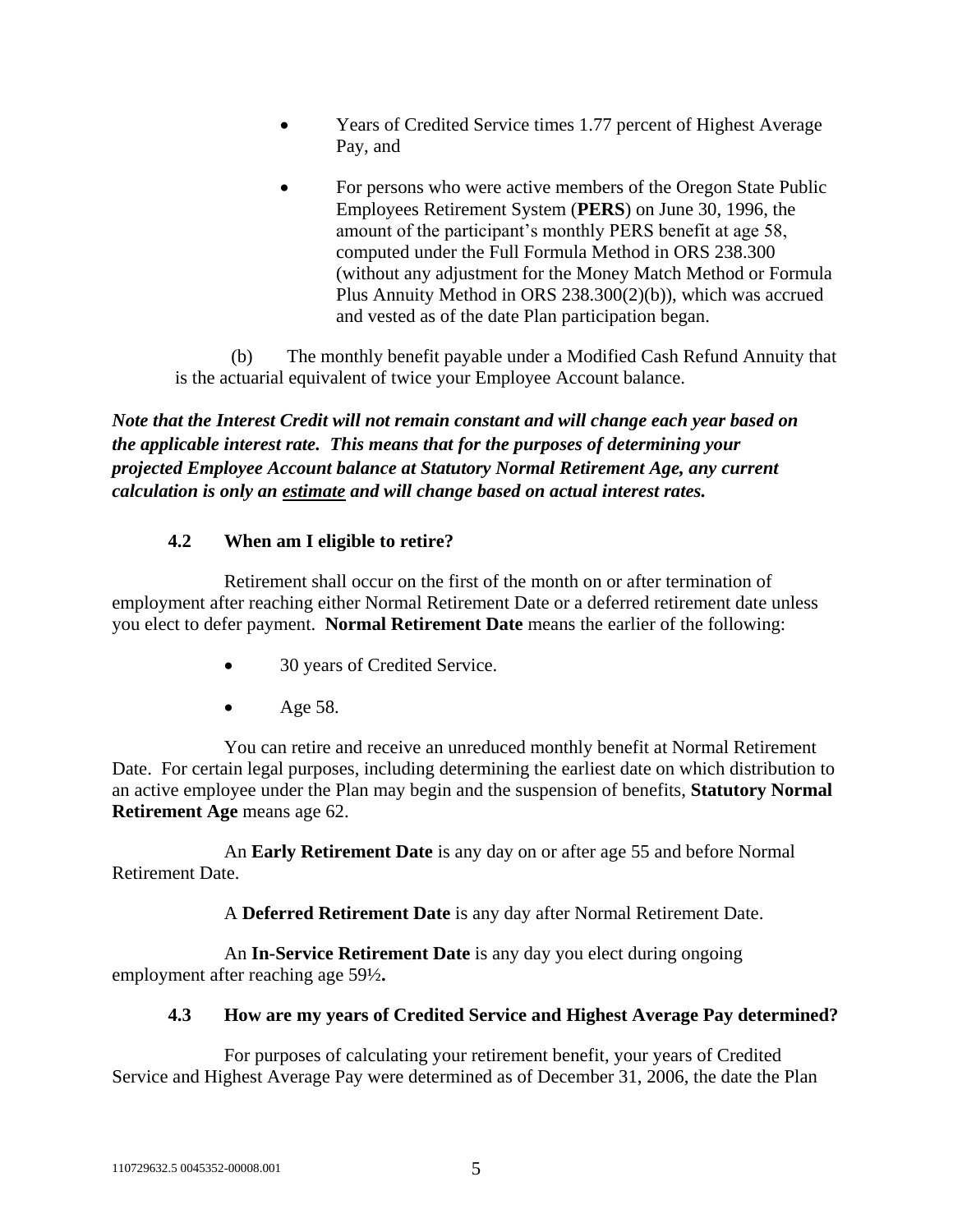- Years of Credited Service times 1.77 percent of Highest Average Pay, and
- For persons who were active members of the Oregon State Public Employees Retirement System (**PERS**) on June 30, 1996, the amount of the participant's monthly PERS benefit at age 58, computed under the Full Formula Method in ORS 238.300 (without any adjustment for the Money Match Method or Formula Plus Annuity Method in ORS 238.300(2)(b)), which was accrued and vested as of the date Plan participation began.

(b) The monthly benefit payable under a Modified Cash Refund Annuity that is the actuarial equivalent of twice your Employee Account balance.

*Note that the Interest Credit will not remain constant and will change each year based on the applicable interest rate. This means that for the purposes of determining your projected Employee Account balance at Statutory Normal Retirement Age, any current calculation is only an estimate and will change based on actual interest rates.*

## **4.2 When am I eligible to retire?**

Retirement shall occur on the first of the month on or after termination of employment after reaching either Normal Retirement Date or a deferred retirement date unless you elect to defer payment. **Normal Retirement Date** means the earlier of the following:

- 30 years of Credited Service.
- $Age 58$ .

You can retire and receive an unreduced monthly benefit at Normal Retirement Date. For certain legal purposes, including determining the earliest date on which distribution to an active employee under the Plan may begin and the suspension of benefits, **Statutory Normal Retirement Age** means age 62.

An **Early Retirement Date** is any day on or after age 55 and before Normal Retirement Date.

A **Deferred Retirement Date** is any day after Normal Retirement Date.

An **In-Service Retirement Date** is any day you elect during ongoing employment after reaching age 59½**.**

# **4.3 How are my years of Credited Service and Highest Average Pay determined?**

For purposes of calculating your retirement benefit, your years of Credited Service and Highest Average Pay were determined as of December 31, 2006, the date the Plan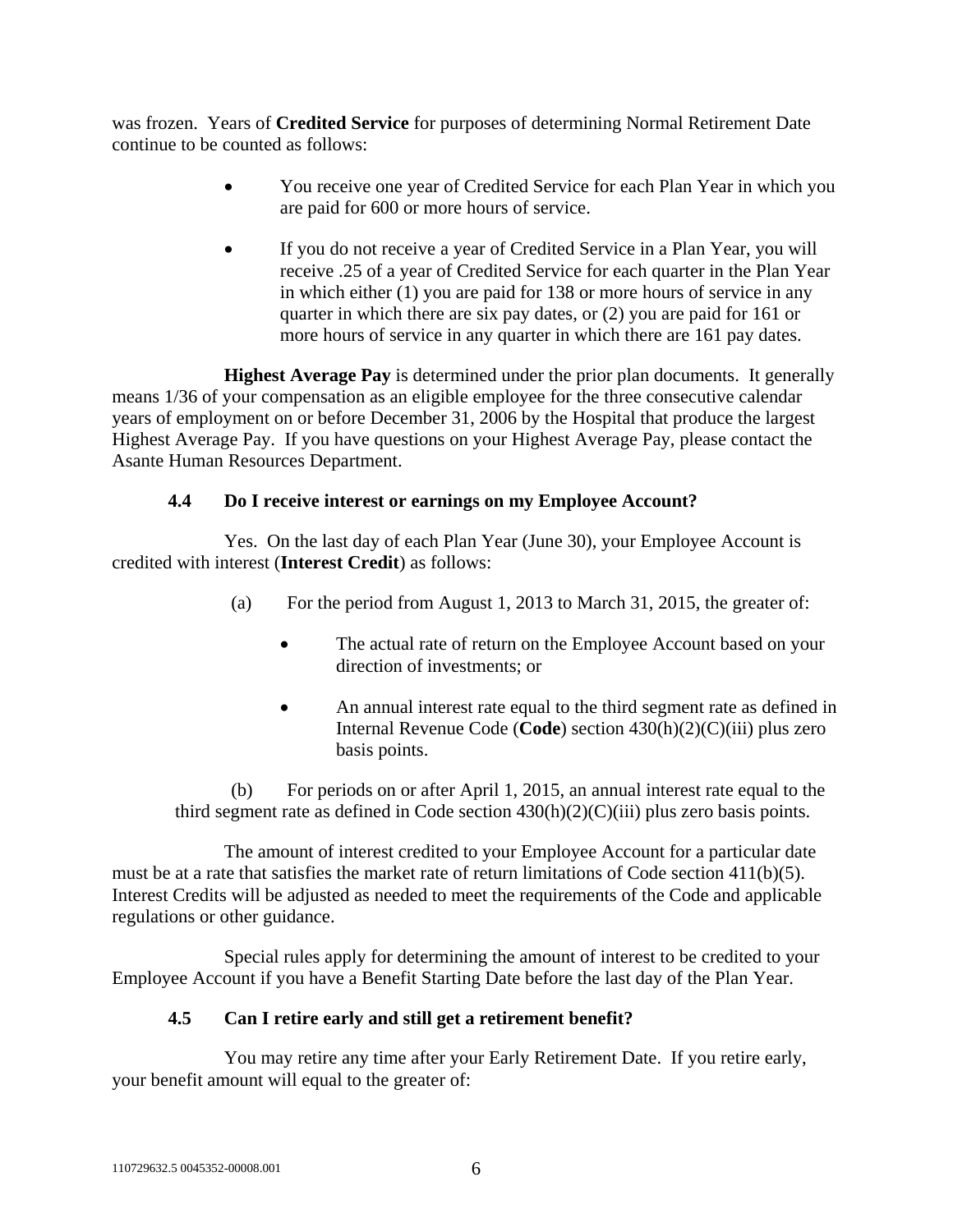was frozen. Years of **Credited Service** for purposes of determining Normal Retirement Date continue to be counted as follows:

- You receive one year of Credited Service for each Plan Year in which you are paid for 600 or more hours of service.
- If you do not receive a year of Credited Service in a Plan Year, you will receive .25 of a year of Credited Service for each quarter in the Plan Year in which either (1) you are paid for 138 or more hours of service in any quarter in which there are six pay dates, or (2) you are paid for 161 or more hours of service in any quarter in which there are 161 pay dates.

**Highest Average Pay** is determined under the prior plan documents. It generally means 1/36 of your compensation as an eligible employee for the three consecutive calendar years of employment on or before December 31, 2006 by the Hospital that produce the largest Highest Average Pay. If you have questions on your Highest Average Pay, please contact the Asante Human Resources Department.

## **4.4 Do I receive interest or earnings on my Employee Account?**

<span id="page-9-0"></span>Yes. On the last day of each Plan Year (June 30), your Employee Account is credited with interest (**Interest Credit**) as follows:

- (a) For the period from August 1, 2013 to March 31, 2015, the greater of:
	- The actual rate of return on the Employee Account based on your direction of investments; or
	- An annual interest rate equal to the third segment rate as defined in Internal Revenue Code (**Code**) section 430(h)(2)(C)(iii) plus zero basis points.

(b) For periods on or after April 1, 2015, an annual interest rate equal to the third segment rate as defined in Code section  $430(h)(2)(C)(iii)$  plus zero basis points.

The amount of interest credited to your Employee Account for a particular date must be at a rate that satisfies the market rate of return limitations of Code section 411(b)(5). Interest Credits will be adjusted as needed to meet the requirements of the Code and applicable regulations or other guidance.

Special rules apply for determining the amount of interest to be credited to your Employee Account if you have a Benefit Starting Date before the last day of the Plan Year.

## **4.5 Can I retire early and still get a retirement benefit?**

<span id="page-9-1"></span>You may retire any time after your Early Retirement Date. If you retire early, your benefit amount will equal to the greater of: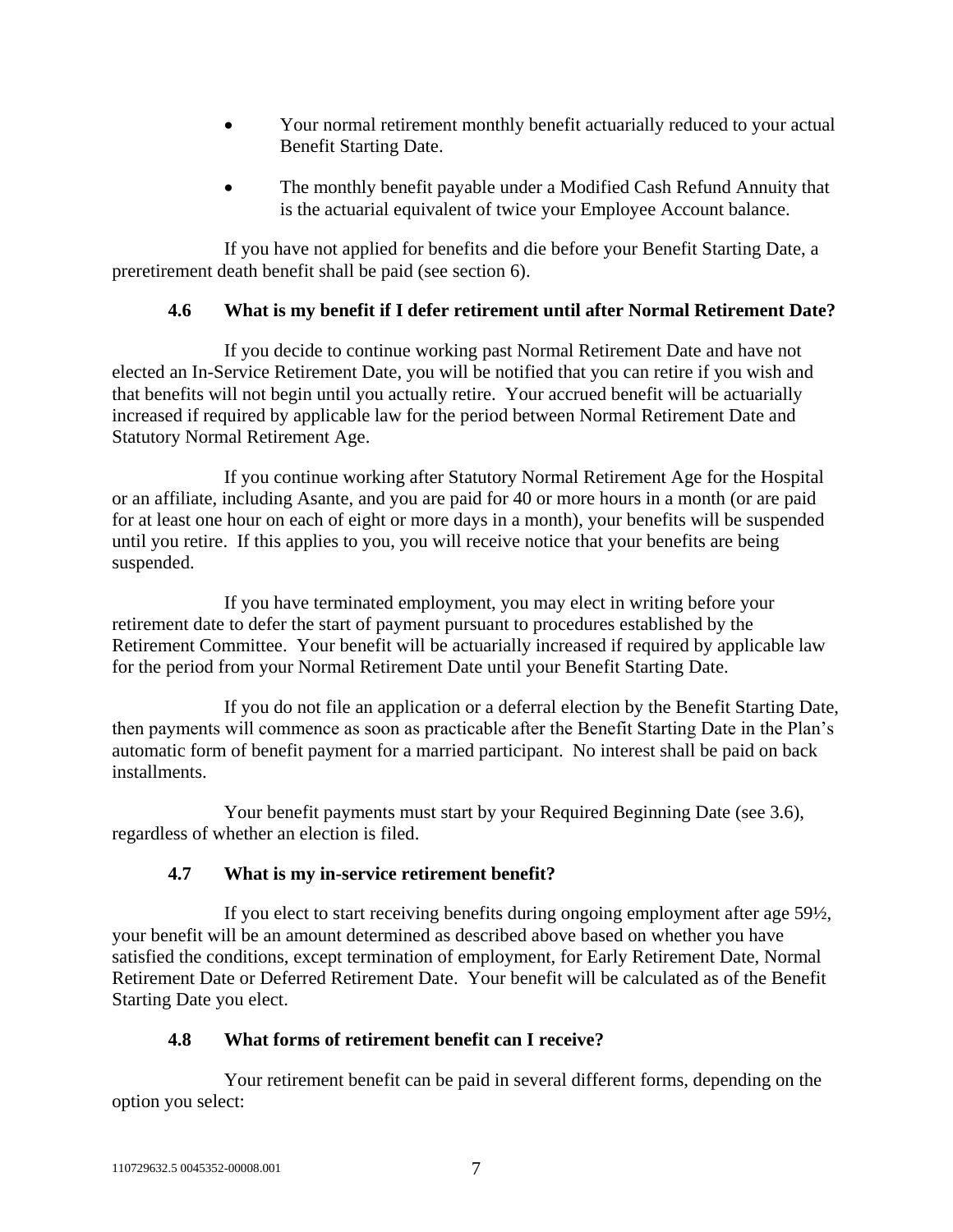- Your normal retirement monthly benefit actuarially reduced to your actual Benefit Starting Date.
- The monthly benefit payable under a Modified Cash Refund Annuity that is the actuarial equivalent of twice your Employee Account balance.

If you have not applied for benefits and die before your Benefit Starting Date, a preretirement death benefit shall be paid (see section [6\)](#page-15-1).

## **4.6 What is my benefit if I defer retirement until after Normal Retirement Date?**

<span id="page-10-0"></span>If you decide to continue working past Normal Retirement Date and have not elected an In-Service Retirement Date, you will be notified that you can retire if you wish and that benefits will not begin until you actually retire. Your accrued benefit will be actuarially increased if required by applicable law for the period between Normal Retirement Date and Statutory Normal Retirement Age.

If you continue working after Statutory Normal Retirement Age for the Hospital or an affiliate, including Asante, and you are paid for 40 or more hours in a month (or are paid for at least one hour on each of eight or more days in a month), your benefits will be suspended until you retire. If this applies to you, you will receive notice that your benefits are being suspended.

If you have terminated employment, you may elect in writing before your retirement date to defer the start of payment pursuant to procedures established by the Retirement Committee. Your benefit will be actuarially increased if required by applicable law for the period from your Normal Retirement Date until your Benefit Starting Date.

If you do not file an application or a deferral election by the Benefit Starting Date, then payments will commence as soon as practicable after the Benefit Starting Date in the Plan's automatic form of benefit payment for a married participant. No interest shall be paid on back installments.

Your benefit payments must start by your Required Beginning Date (see [3.6\)](#page-7-1), regardless of whether an election is filed.

# **4.7 What is my in-service retirement benefit?**

<span id="page-10-1"></span>If you elect to start receiving benefits during ongoing employment after age 59½, your benefit will be an amount determined as described above based on whether you have satisfied the conditions, except termination of employment, for Early Retirement Date, Normal Retirement Date or Deferred Retirement Date. Your benefit will be calculated as of the Benefit Starting Date you elect.

# **4.8 What forms of retirement benefit can I receive?**

<span id="page-10-2"></span>Your retirement benefit can be paid in several different forms, depending on the option you select: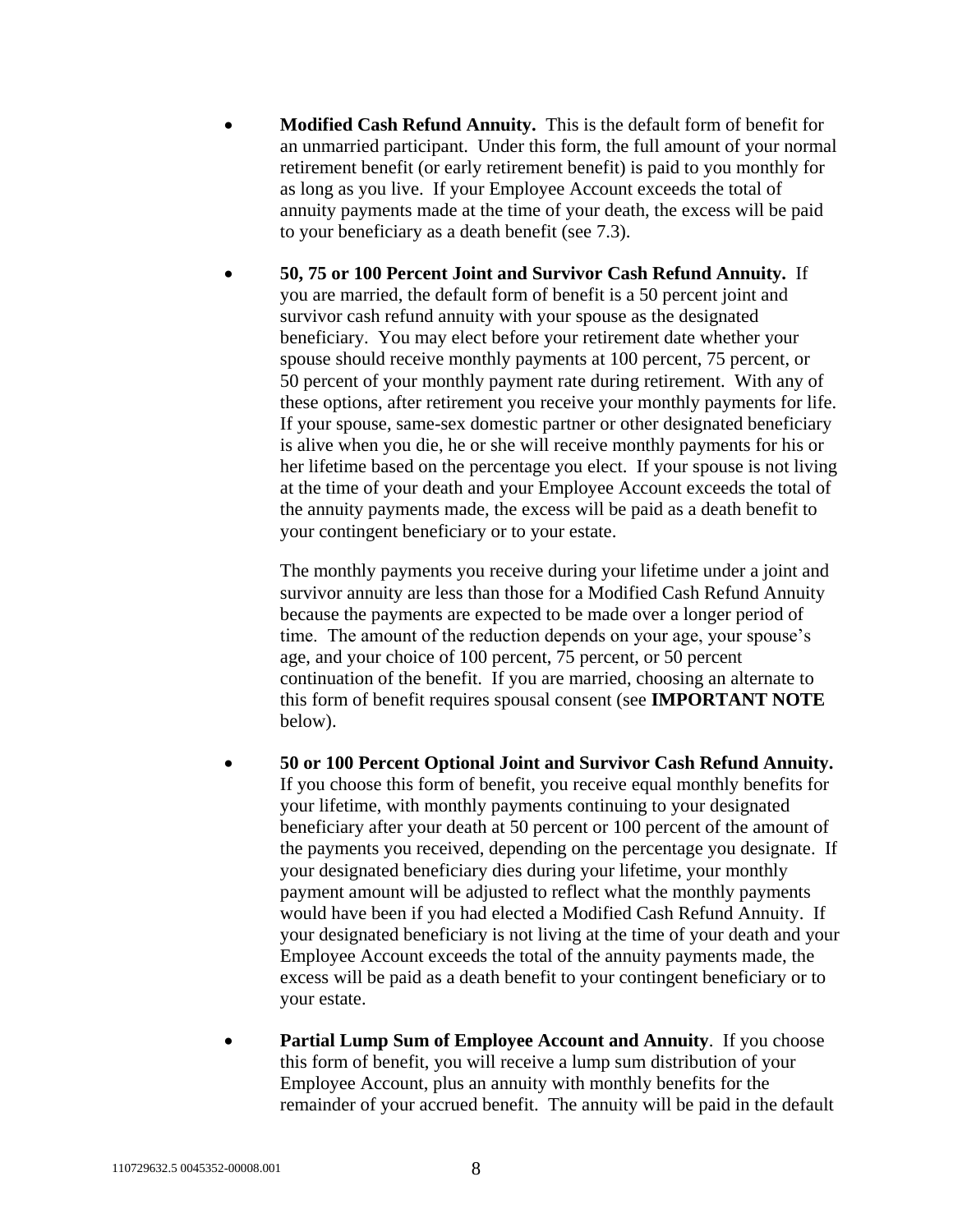- **Modified Cash Refund Annuity.** This is the default form of benefit for an unmarried participant. Under this form, the full amount of your normal retirement benefit (or early retirement benefit) is paid to you monthly for as long as you live. If your Employee Account exceeds the total of annuity payments made at the time of your death, the excess will be paid to your beneficiary as a death benefit (see [7.3\)](#page-16-0).
- **50, 75 or 100 Percent Joint and Survivor Cash Refund Annuity.** If you are married, the default form of benefit is a 50 percent joint and survivor cash refund annuity with your spouse as the designated beneficiary. You may elect before your retirement date whether your spouse should receive monthly payments at 100 percent, 75 percent, or 50 percent of your monthly payment rate during retirement. With any of these options, after retirement you receive your monthly payments for life. If your spouse, same-sex domestic partner or other designated beneficiary is alive when you die, he or she will receive monthly payments for his or her lifetime based on the percentage you elect. If your spouse is not living at the time of your death and your Employee Account exceeds the total of the annuity payments made, the excess will be paid as a death benefit to your contingent beneficiary or to your estate.

The monthly payments you receive during your lifetime under a joint and survivor annuity are less than those for a Modified Cash Refund Annuity because the payments are expected to be made over a longer period of time. The amount of the reduction depends on your age, your spouse's age, and your choice of 100 percent, 75 percent, or 50 percent continuation of the benefit. If you are married, choosing an alternate to this form of benefit requires spousal consent (see **IMPORTANT NOTE** below).

- **50 or 100 Percent Optional Joint and Survivor Cash Refund Annuity.** If you choose this form of benefit, you receive equal monthly benefits for your lifetime, with monthly payments continuing to your designated beneficiary after your death at 50 percent or 100 percent of the amount of the payments you received, depending on the percentage you designate. If your designated beneficiary dies during your lifetime, your monthly payment amount will be adjusted to reflect what the monthly payments would have been if you had elected a Modified Cash Refund Annuity. If your designated beneficiary is not living at the time of your death and your Employee Account exceeds the total of the annuity payments made, the excess will be paid as a death benefit to your contingent beneficiary or to your estate.
- **Partial Lump Sum of Employee Account and Annuity**. If you choose this form of benefit, you will receive a lump sum distribution of your Employee Account, plus an annuity with monthly benefits for the remainder of your accrued benefit. The annuity will be paid in the default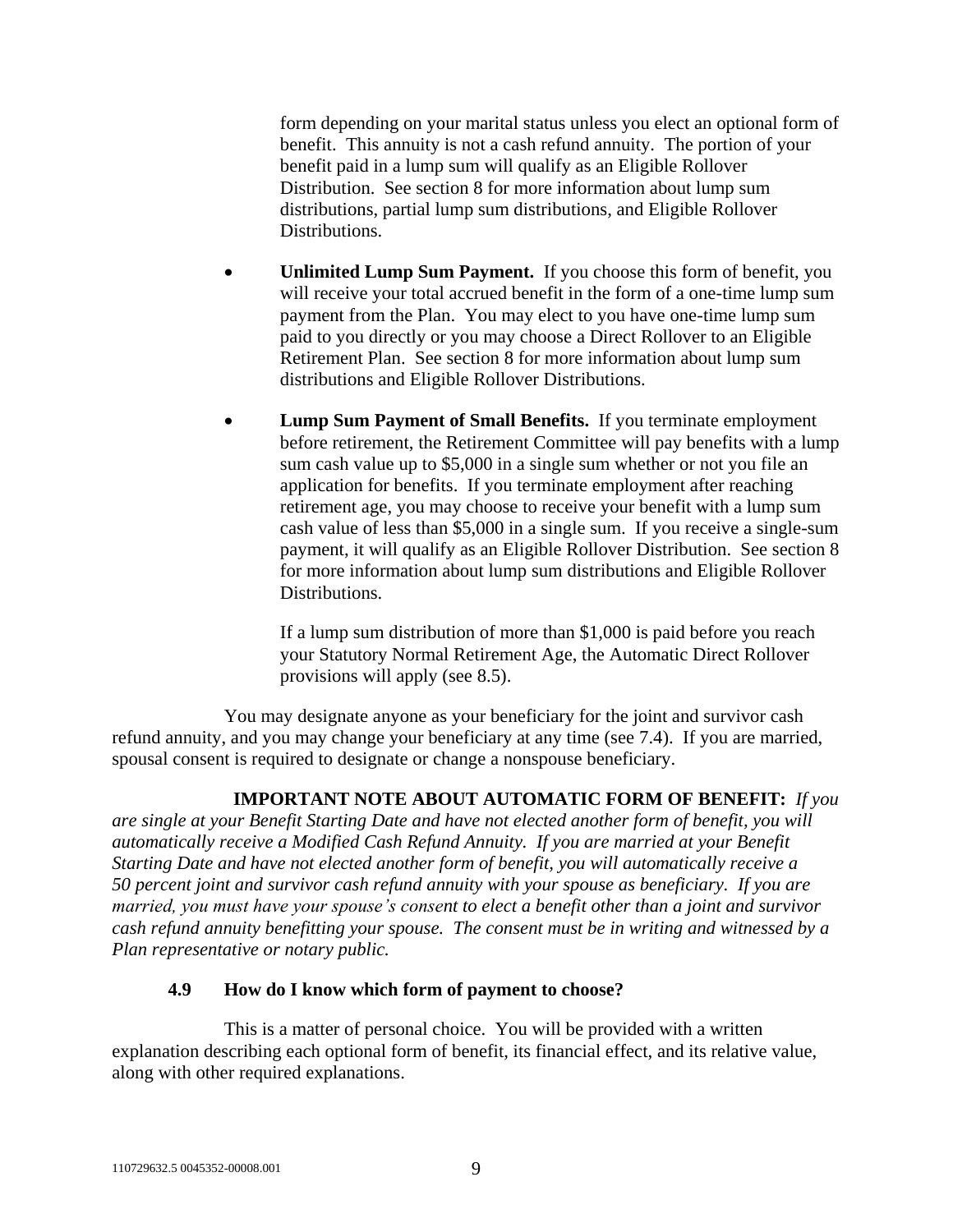form depending on your marital status unless you elect an optional form of benefit. This annuity is not a cash refund annuity. The portion of your benefit paid in a lump sum will qualify as an Eligible Rollover Distribution. See section [8](#page-18-2) for more information about lump sum distributions, partial lump sum distributions, and Eligible Rollover Distributions.

- **Unlimited Lump Sum Payment.** If you choose this form of benefit, you will receive your total accrued benefit in the form of a one-time lump sum payment from the Plan. You may elect to you have one-time lump sum paid to you directly or you may choose a Direct Rollover to an Eligible Retirement Plan. See section [8](#page-18-2) for more information about lump sum distributions and Eligible Rollover Distributions.
- **Lump Sum Payment of Small Benefits.** If you terminate employment before retirement, the Retirement Committee will pay benefits with a lump sum cash value up to \$5,000 in a single sum whether or not you file an application for benefits. If you terminate employment after reaching retirement age, you may choose to receive your benefit with a lump sum cash value of less than \$5,000 in a single sum. If you receive a single-sum payment, it will qualify as an Eligible Rollover Distribution. See section [8](#page-18-2) for more information about lump sum distributions and Eligible Rollover Distributions.

If a lump sum distribution of more than \$1,000 is paid before you reach your Statutory Normal Retirement Age, the Automatic Direct Rollover provisions will apply (see [8.5\)](#page-20-0).

You may designate anyone as your beneficiary for the joint and survivor cash refund annuity, and you may change your beneficiary at any time (see [7.4\)](#page-17-0). If you are married, spousal consent is required to designate or change a nonspouse beneficiary.

## **IMPORTANT NOTE ABOUT AUTOMATIC FORM OF BENEFIT:** *If you*

*are single at your Benefit Starting Date and have not elected another form of benefit, you will automatically receive a Modified Cash Refund Annuity. If you are married at your Benefit Starting Date and have not elected another form of benefit, you will automatically receive a 50 percent joint and survivor cash refund annuity with your spouse as beneficiary. If you are married, you must have your spouse's consent to elect a benefit other than a joint and survivor cash refund annuity benefitting your spouse. The consent must be in writing and witnessed by a Plan representative or notary public.*

## **4.9 How do I know which form of payment to choose?**

<span id="page-12-0"></span>This is a matter of personal choice. You will be provided with a written explanation describing each optional form of benefit, its financial effect, and its relative value, along with other required explanations.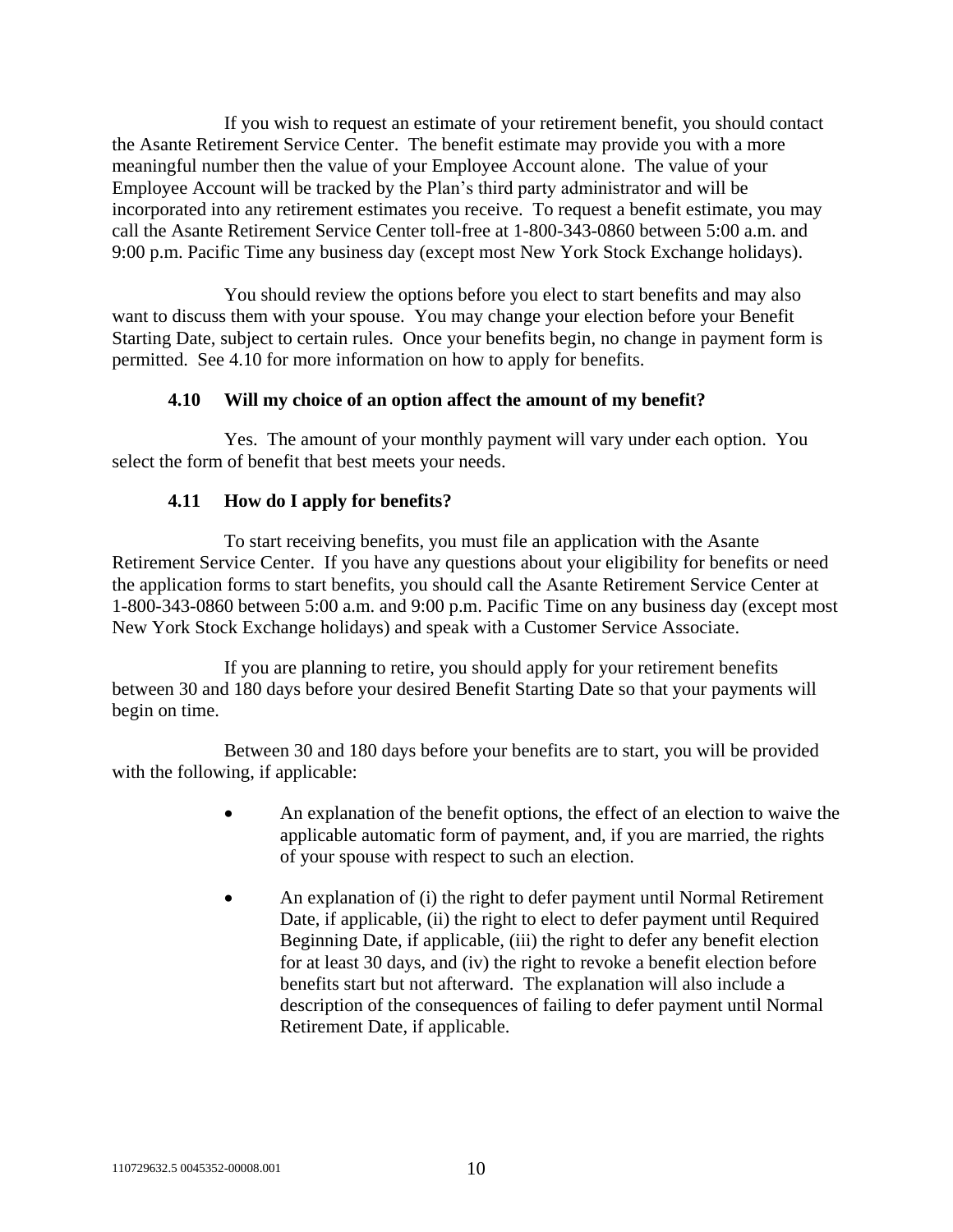If you wish to request an estimate of your retirement benefit, you should contact the Asante Retirement Service Center. The benefit estimate may provide you with a more meaningful number then the value of your Employee Account alone. The value of your Employee Account will be tracked by the Plan's third party administrator and will be incorporated into any retirement estimates you receive. To request a benefit estimate, you may call the Asante Retirement Service Center toll-free at 1-800-343-0860 between 5:00 a.m. and 9:00 p.m. Pacific Time any business day (except most New York Stock Exchange holidays).

You should review the options before you elect to start benefits and may also want to discuss them with your spouse. You may change your election before your Benefit Starting Date, subject to certain rules. Once your benefits begin, no change in payment form is permitted. See [4.10](#page-13-0) for more information on how to apply for benefits.

## **4.10 Will my choice of an option affect the amount of my benefit?**

<span id="page-13-0"></span>Yes. The amount of your monthly payment will vary under each option. You select the form of benefit that best meets your needs.

## **4.11 How do I apply for benefits?**

To start receiving benefits, you must file an application with the Asante Retirement Service Center. If you have any questions about your eligibility for benefits or need the application forms to start benefits, you should call the Asante Retirement Service Center at 1-800-343-0860 between 5:00 a.m. and 9:00 p.m. Pacific Time on any business day (except most New York Stock Exchange holidays) and speak with a Customer Service Associate.

If you are planning to retire, you should apply for your retirement benefits between 30 and 180 days before your desired Benefit Starting Date so that your payments will begin on time.

Between 30 and 180 days before your benefits are to start, you will be provided with the following, if applicable:

- An explanation of the benefit options, the effect of an election to waive the applicable automatic form of payment, and, if you are married, the rights of your spouse with respect to such an election.
- An explanation of (i) the right to defer payment until Normal Retirement Date, if applicable, (ii) the right to elect to defer payment until Required Beginning Date, if applicable, (iii) the right to defer any benefit election for at least 30 days, and (iv) the right to revoke a benefit election before benefits start but not afterward. The explanation will also include a description of the consequences of failing to defer payment until Normal Retirement Date, if applicable.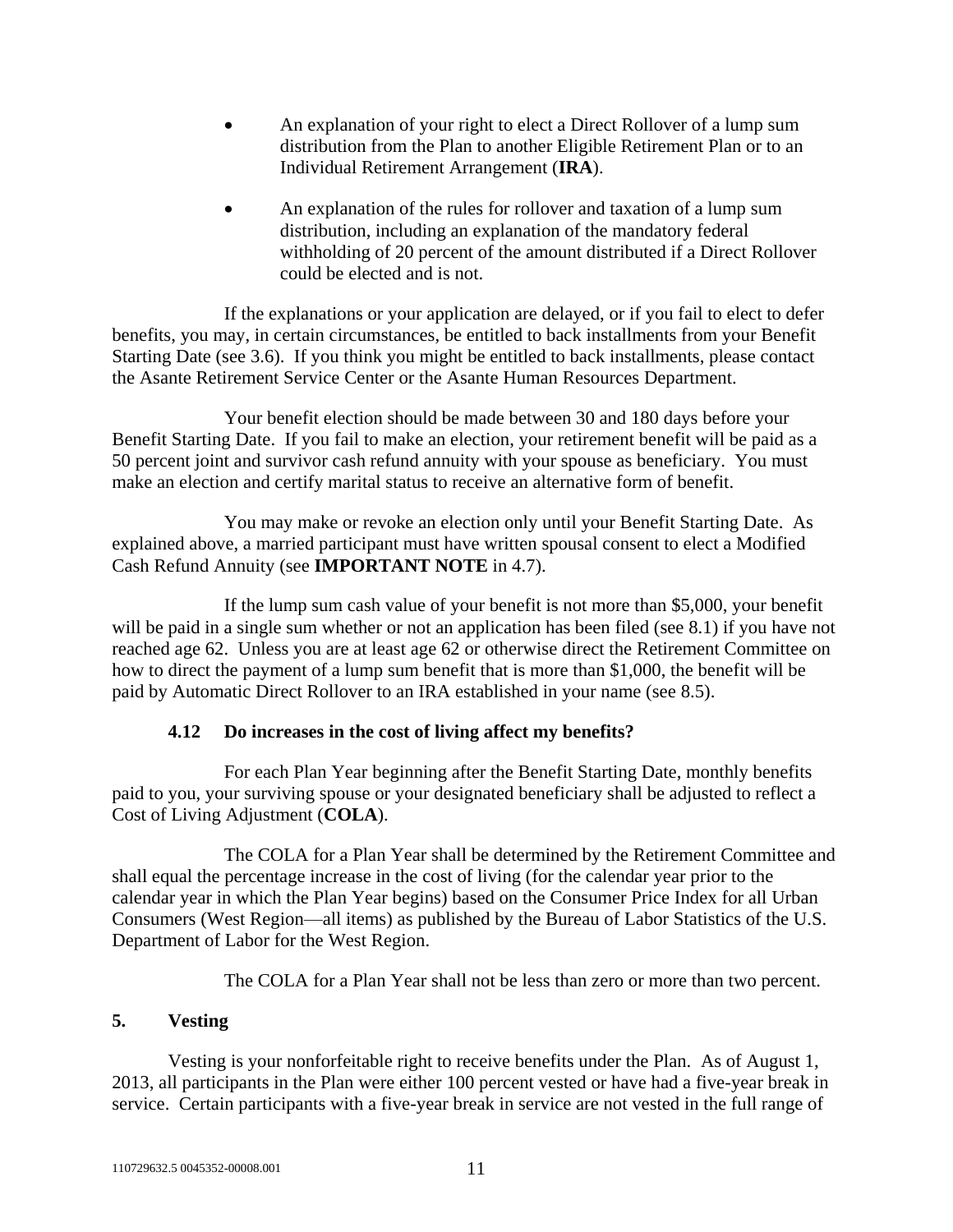- An explanation of your right to elect a Direct Rollover of a lump sum distribution from the Plan to another Eligible Retirement Plan or to an Individual Retirement Arrangement (**IRA**).
- An explanation of the rules for rollover and taxation of a lump sum distribution, including an explanation of the mandatory federal withholding of 20 percent of the amount distributed if a Direct Rollover could be elected and is not.

If the explanations or your application are delayed, or if you fail to elect to defer benefits, you may, in certain circumstances, be entitled to back installments from your Benefit Starting Date (see [3.6\)](#page-7-1). If you think you might be entitled to back installments, please contact the Asante Retirement Service Center or the Asante Human Resources Department.

Your benefit election should be made between 30 and 180 days before your Benefit Starting Date. If you fail to make an election, your retirement benefit will be paid as a 50 percent joint and survivor cash refund annuity with your spouse as beneficiary. You must make an election and certify marital status to receive an alternative form of benefit.

You may make or revoke an election only until your Benefit Starting Date. As explained above, a married participant must have written spousal consent to elect a Modified Cash Refund Annuity (see **IMPORTANT NOTE** in [4.7\)](#page-10-1).

If the lump sum cash value of your benefit is not more than \$5,000, your benefit will be paid in a single sum whether or not an application has been filed (see [8.1\)](#page-18-1) if you have not reached age 62. Unless you are at least age 62 or otherwise direct the Retirement Committee on how to direct the payment of a lump sum benefit that is more than \$1,000, the benefit will be paid by Automatic Direct Rollover to an IRA established in your name (see [8.5\)](#page-20-0).

## **4.12 Do increases in the cost of living affect my benefits?**

For each Plan Year beginning after the Benefit Starting Date, monthly benefits paid to you, your surviving spouse or your designated beneficiary shall be adjusted to reflect a Cost of Living Adjustment (**COLA**).

The COLA for a Plan Year shall be determined by the Retirement Committee and shall equal the percentage increase in the cost of living (for the calendar year prior to the calendar year in which the Plan Year begins) based on the Consumer Price Index for all Urban Consumers (West Region—all items) as published by the Bureau of Labor Statistics of the U.S. Department of Labor for the West Region.

The COLA for a Plan Year shall not be less than zero or more than two percent.

## **5. Vesting**

Vesting is your nonforfeitable right to receive benefits under the Plan. As of August 1, 2013, all participants in the Plan were either 100 percent vested or have had a five-year break in service. Certain participants with a five-year break in service are not vested in the full range of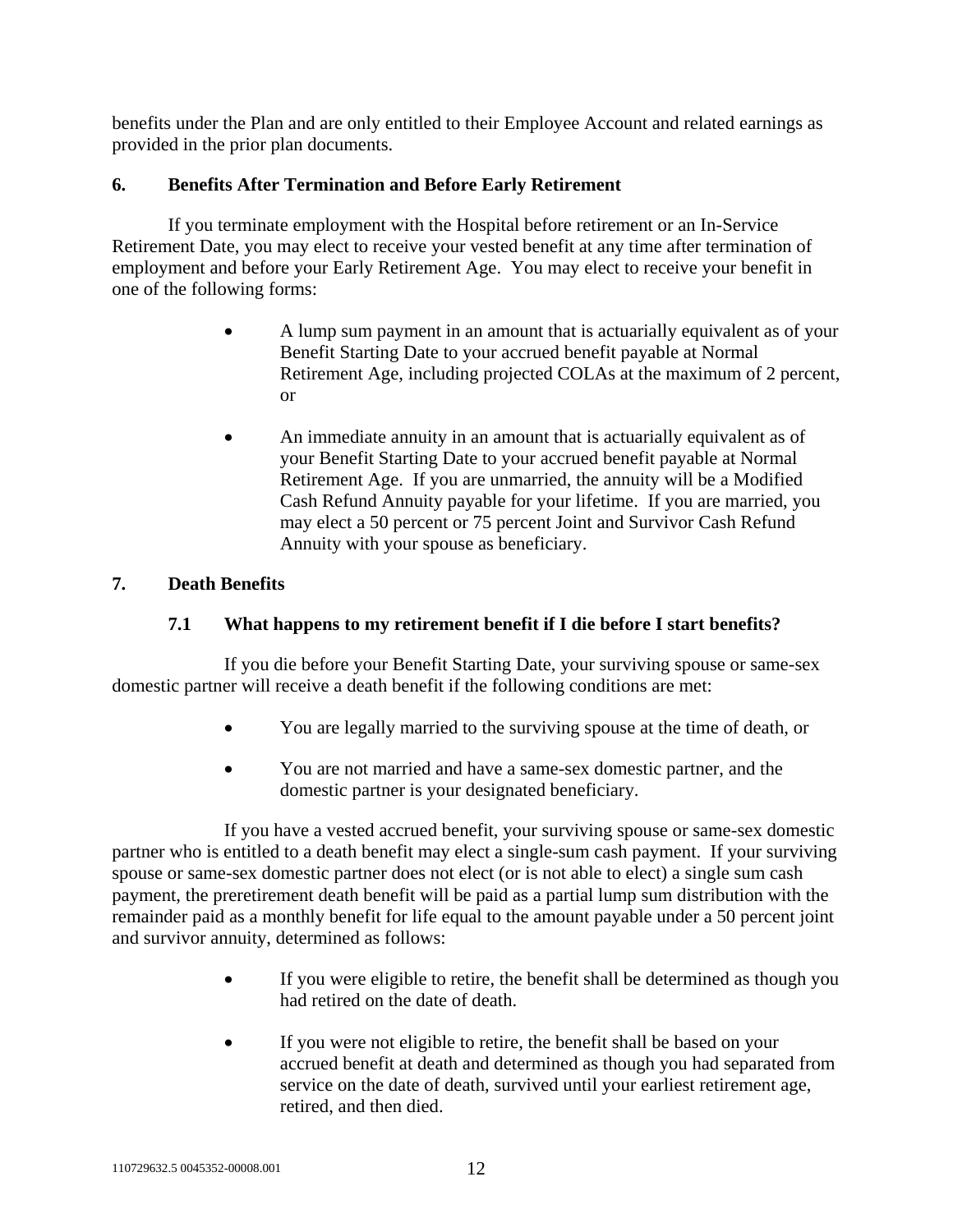benefits under the Plan and are only entitled to their Employee Account and related earnings as provided in the prior plan documents.

## <span id="page-15-1"></span>**6. Benefits After Termination and Before Early Retirement**

If you terminate employment with the Hospital before retirement or an In-Service Retirement Date, you may elect to receive your vested benefit at any time after termination of employment and before your Early Retirement Age. You may elect to receive your benefit in one of the following forms:

- A lump sum payment in an amount that is actuarially equivalent as of your Benefit Starting Date to your accrued benefit payable at Normal Retirement Age, including projected COLAs at the maximum of 2 percent, or
- An immediate annuity in an amount that is actuarially equivalent as of your Benefit Starting Date to your accrued benefit payable at Normal Retirement Age. If you are unmarried, the annuity will be a Modified Cash Refund Annuity payable for your lifetime. If you are married, you may elect a 50 percent or 75 percent Joint and Survivor Cash Refund Annuity with your spouse as beneficiary.

## <span id="page-15-0"></span>**7. Death Benefits**

## **7.1 What happens to my retirement benefit if I die before I start benefits?**

If you die before your Benefit Starting Date, your surviving spouse or same-sex domestic partner will receive a death benefit if the following conditions are met:

- You are legally married to the surviving spouse at the time of death, or
- You are not married and have a same-sex domestic partner, and the domestic partner is your designated beneficiary.

If you have a vested accrued benefit, your surviving spouse or same-sex domestic partner who is entitled to a death benefit may elect a single-sum cash payment. If your surviving spouse or same-sex domestic partner does not elect (or is not able to elect) a single sum cash payment, the preretirement death benefit will be paid as a partial lump sum distribution with the remainder paid as a monthly benefit for life equal to the amount payable under a 50 percent joint and survivor annuity, determined as follows:

- If you were eligible to retire, the benefit shall be determined as though you had retired on the date of death.
- If you were not eligible to retire, the benefit shall be based on your accrued benefit at death and determined as though you had separated from service on the date of death, survived until your earliest retirement age, retired, and then died.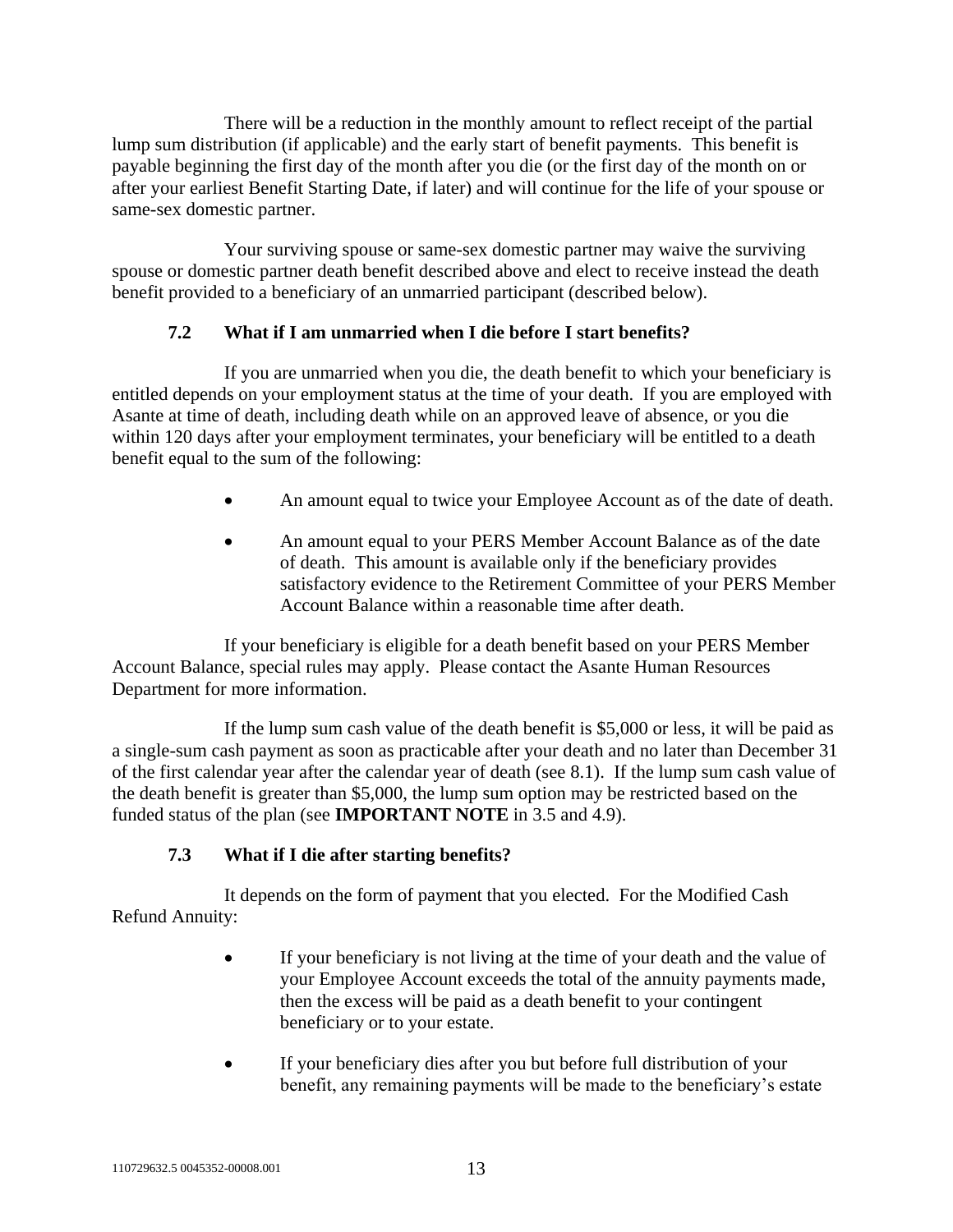There will be a reduction in the monthly amount to reflect receipt of the partial lump sum distribution (if applicable) and the early start of benefit payments. This benefit is payable beginning the first day of the month after you die (or the first day of the month on or after your earliest Benefit Starting Date, if later) and will continue for the life of your spouse or same-sex domestic partner.

Your surviving spouse or same-sex domestic partner may waive the surviving spouse or domestic partner death benefit described above and elect to receive instead the death benefit provided to a beneficiary of an unmarried participant (described below).

## **7.2 What if I am unmarried when I die before I start benefits?**

If you are unmarried when you die, the death benefit to which your beneficiary is entitled depends on your employment status at the time of your death. If you are employed with Asante at time of death, including death while on an approved leave of absence, or you die within 120 days after your employment terminates, your beneficiary will be entitled to a death benefit equal to the sum of the following:

- An amount equal to twice your Employee Account as of the date of death.
- An amount equal to your PERS Member Account Balance as of the date of death. This amount is available only if the beneficiary provides satisfactory evidence to the Retirement Committee of your PERS Member Account Balance within a reasonable time after death.

If your beneficiary is eligible for a death benefit based on your PERS Member Account Balance, special rules may apply. Please contact the Asante Human Resources Department for more information.

If the lump sum cash value of the death benefit is \$5,000 or less, it will be paid as a single-sum cash payment as soon as practicable after your death and no later than December 31 of the first calendar year after the calendar year of death (see [8.1\)](#page-18-1). If the lump sum cash value of the death benefit is greater than \$5,000, the lump sum option may be restricted based on the funded status of the plan (see **IMPORTANT NOTE** in [3.5](#page-6-0) and [4.9\)](#page-12-0).

## **7.3 What if I die after starting benefits?**

<span id="page-16-0"></span>It depends on the form of payment that you elected. For the Modified Cash Refund Annuity:

- If your beneficiary is not living at the time of your death and the value of your Employee Account exceeds the total of the annuity payments made, then the excess will be paid as a death benefit to your contingent beneficiary or to your estate.
- If your beneficiary dies after you but before full distribution of your benefit, any remaining payments will be made to the beneficiary's estate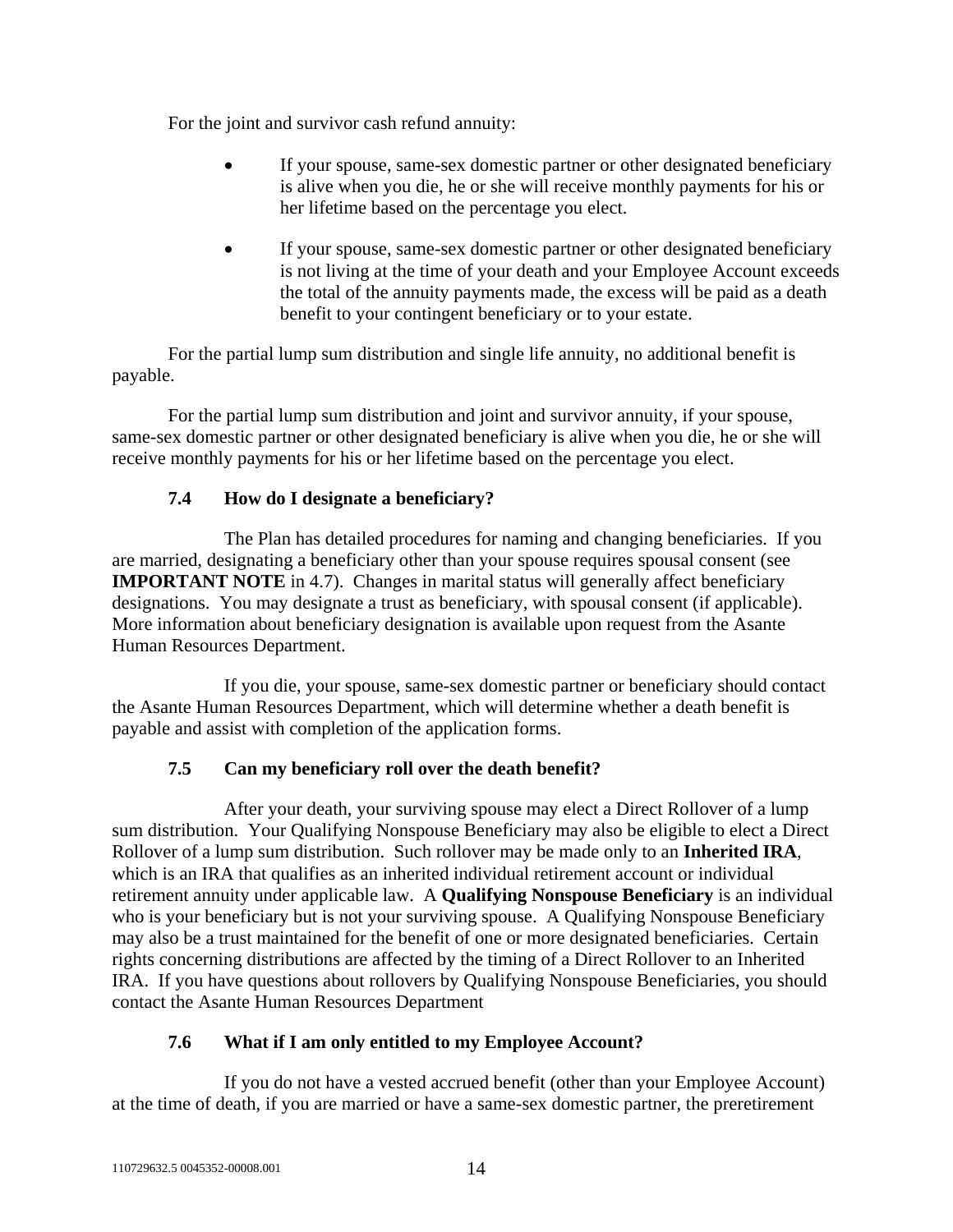For the joint and survivor cash refund annuity:

- If your spouse, same-sex domestic partner or other designated beneficiary is alive when you die, he or she will receive monthly payments for his or her lifetime based on the percentage you elect.
- If your spouse, same-sex domestic partner or other designated beneficiary is not living at the time of your death and your Employee Account exceeds the total of the annuity payments made, the excess will be paid as a death benefit to your contingent beneficiary or to your estate.

For the partial lump sum distribution and single life annuity, no additional benefit is payable.

For the partial lump sum distribution and joint and survivor annuity, if your spouse, same-sex domestic partner or other designated beneficiary is alive when you die, he or she will receive monthly payments for his or her lifetime based on the percentage you elect.

## **7.4 How do I designate a beneficiary?**

<span id="page-17-0"></span>The Plan has detailed procedures for naming and changing beneficiaries. If you are married, designating a beneficiary other than your spouse requires spousal consent (see **IMPORTANT NOTE** in [4.7\)](#page-10-1). Changes in marital status will generally affect beneficiary designations. You may designate a trust as beneficiary, with spousal consent (if applicable). More information about beneficiary designation is available upon request from the Asante Human Resources Department.

If you die, your spouse, same-sex domestic partner or beneficiary should contact the Asante Human Resources Department, which will determine whether a death benefit is payable and assist with completion of the application forms.

## **7.5 Can my beneficiary roll over the death benefit?**

After your death, your surviving spouse may elect a Direct Rollover of a lump sum distribution. Your Qualifying Nonspouse Beneficiary may also be eligible to elect a Direct Rollover of a lump sum distribution. Such rollover may be made only to an **Inherited IRA**, which is an IRA that qualifies as an inherited individual retirement account or individual retirement annuity under applicable law. A **Qualifying Nonspouse Beneficiary** is an individual who is your beneficiary but is not your surviving spouse. A Qualifying Nonspouse Beneficiary may also be a trust maintained for the benefit of one or more designated beneficiaries. Certain rights concerning distributions are affected by the timing of a Direct Rollover to an Inherited IRA. If you have questions about rollovers by Qualifying Nonspouse Beneficiaries, you should contact the Asante Human Resources Department

## **7.6 What if I am only entitled to my Employee Account?**

If you do not have a vested accrued benefit (other than your Employee Account) at the time of death, if you are married or have a same-sex domestic partner, the preretirement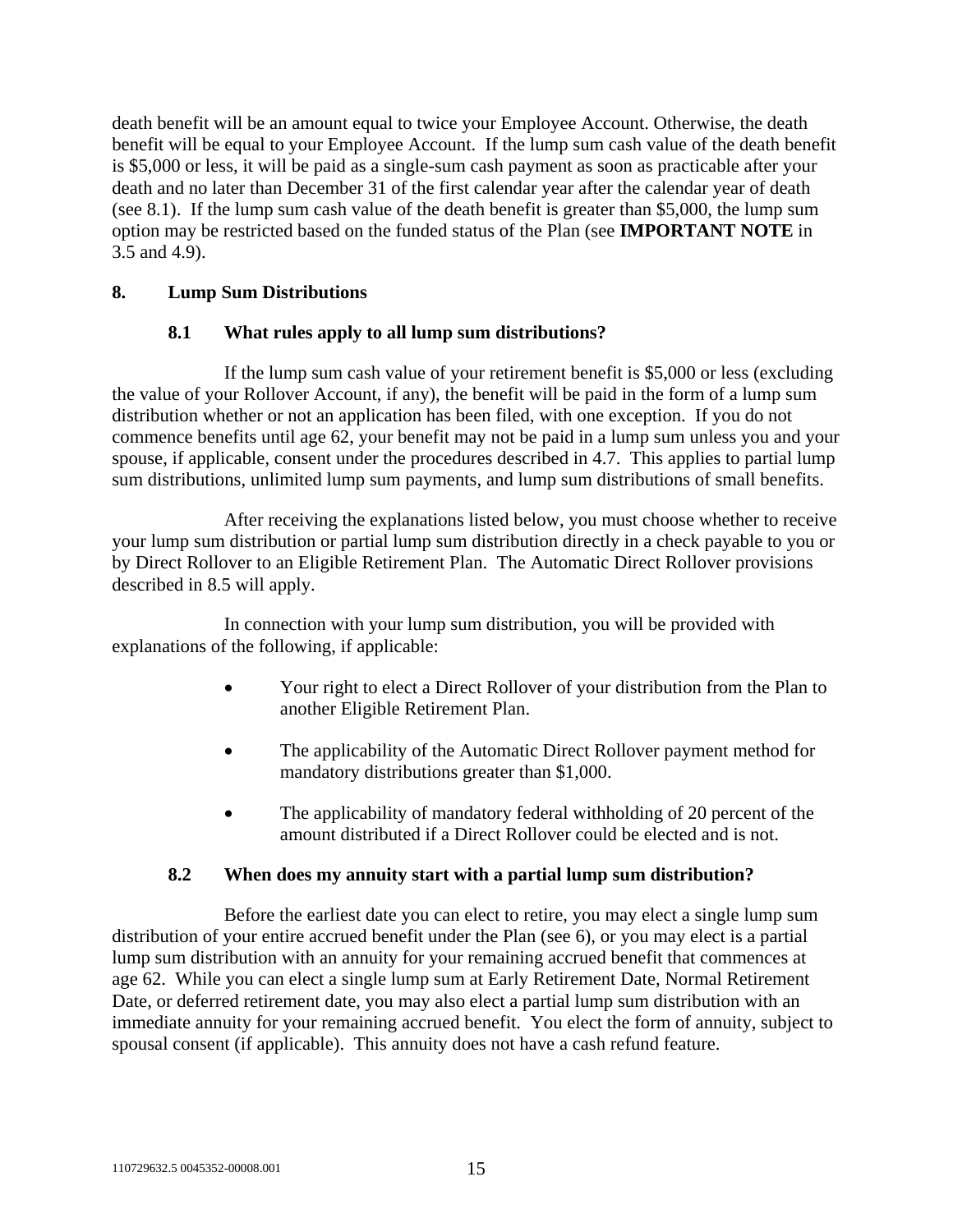death benefit will be an amount equal to twice your Employee Account. Otherwise, the death benefit will be equal to your Employee Account. If the lump sum cash value of the death benefit is \$5,000 or less, it will be paid as a single-sum cash payment as soon as practicable after your death and no later than December 31 of the first calendar year after the calendar year of death (see [8.1\)](#page-18-1). If the lump sum cash value of the death benefit is greater than \$5,000, the lump sum option may be restricted based on the funded status of the Plan (see **IMPORTANT NOTE** in [3.5](#page-6-0) and [4.9\)](#page-12-0).

## <span id="page-18-2"></span><span id="page-18-1"></span>**8. Lump Sum Distributions**

## **8.1 What rules apply to all lump sum distributions?**

If the lump sum cash value of your retirement benefit is \$5,000 or less (excluding the value of your Rollover Account, if any), the benefit will be paid in the form of a lump sum distribution whether or not an application has been filed, with one exception. If you do not commence benefits until age 62, your benefit may not be paid in a lump sum unless you and your spouse, if applicable, consent under the procedures described in [4.7.](#page-10-1) This applies to partial lump sum distributions, unlimited lump sum payments, and lump sum distributions of small benefits.

After receiving the explanations listed below, you must choose whether to receive your lump sum distribution or partial lump sum distribution directly in a check payable to you or by Direct Rollover to an Eligible Retirement Plan. The Automatic Direct Rollover provisions described in [8.5](#page-20-0) will apply.

In connection with your lump sum distribution, you will be provided with explanations of the following, if applicable:

- Your right to elect a Direct Rollover of your distribution from the Plan to another Eligible Retirement Plan.
- The applicability of the Automatic Direct Rollover payment method for mandatory distributions greater than \$1,000.
- The applicability of mandatory federal withholding of 20 percent of the amount distributed if a Direct Rollover could be elected and is not.

#### **8.2 When does my annuity start with a partial lump sum distribution?**

<span id="page-18-0"></span>Before the earliest date you can elect to retire, you may elect a single lump sum distribution of your entire accrued benefit under the Plan (see [6\)](#page-15-1), or you may elect is a partial lump sum distribution with an annuity for your remaining accrued benefit that commences at age 62. While you can elect a single lump sum at Early Retirement Date, Normal Retirement Date, or deferred retirement date, you may also elect a partial lump sum distribution with an immediate annuity for your remaining accrued benefit. You elect the form of annuity, subject to spousal consent (if applicable). This annuity does not have a cash refund feature.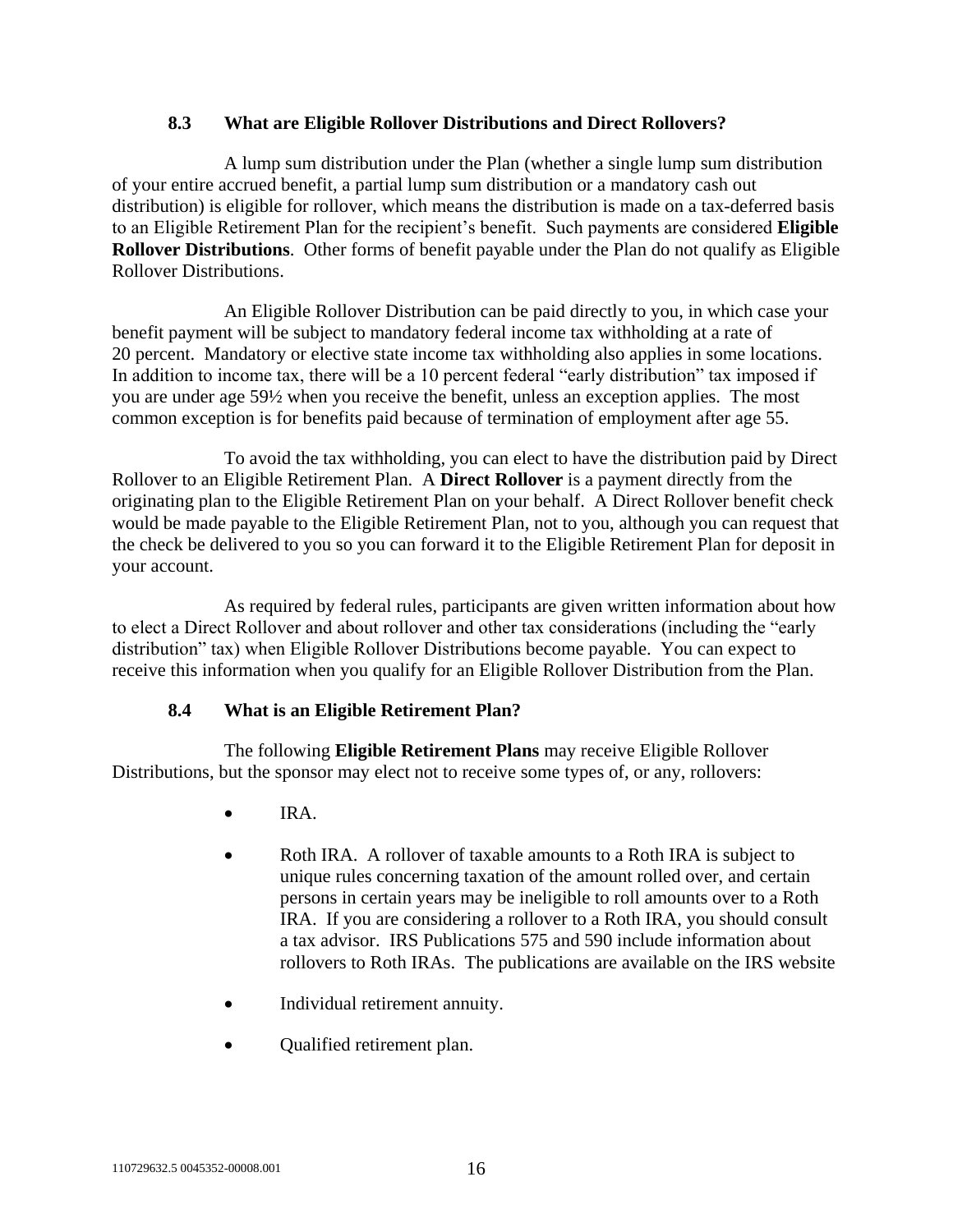#### **8.3 What are Eligible Rollover Distributions and Direct Rollovers?**

A lump sum distribution under the Plan (whether a single lump sum distribution of your entire accrued benefit, a partial lump sum distribution or a mandatory cash out distribution) is eligible for rollover, which means the distribution is made on a tax-deferred basis to an Eligible Retirement Plan for the recipient's benefit. Such payments are considered **Eligible Rollover Distributions**. Other forms of benefit payable under the Plan do not qualify as Eligible Rollover Distributions.

An Eligible Rollover Distribution can be paid directly to you, in which case your benefit payment will be subject to mandatory federal income tax withholding at a rate of 20 percent. Mandatory or elective state income tax withholding also applies in some locations. In addition to income tax, there will be a 10 percent federal "early distribution" tax imposed if you are under age 59½ when you receive the benefit, unless an exception applies. The most common exception is for benefits paid because of termination of employment after age 55.

To avoid the tax withholding, you can elect to have the distribution paid by Direct Rollover to an Eligible Retirement Plan. A **Direct Rollover** is a payment directly from the originating plan to the Eligible Retirement Plan on your behalf. A Direct Rollover benefit check would be made payable to the Eligible Retirement Plan, not to you, although you can request that the check be delivered to you so you can forward it to the Eligible Retirement Plan for deposit in your account.

As required by federal rules, participants are given written information about how to elect a Direct Rollover and about rollover and other tax considerations (including the "early distribution" tax) when Eligible Rollover Distributions become payable. You can expect to receive this information when you qualify for an Eligible Rollover Distribution from the Plan.

## **8.4 What is an Eligible Retirement Plan?**

The following **Eligible Retirement Plans** may receive Eligible Rollover Distributions, but the sponsor may elect not to receive some types of, or any, rollovers:

- IRA.
- Roth IRA. A rollover of taxable amounts to a Roth IRA is subject to unique rules concerning taxation of the amount rolled over, and certain persons in certain years may be ineligible to roll amounts over to a Roth IRA. If you are considering a rollover to a Roth IRA, you should consult a tax advisor. IRS Publications 575 and 590 include information about rollovers to Roth IRAs. The publications are available on the IRS website
- Individual retirement annuity.
- Qualified retirement plan.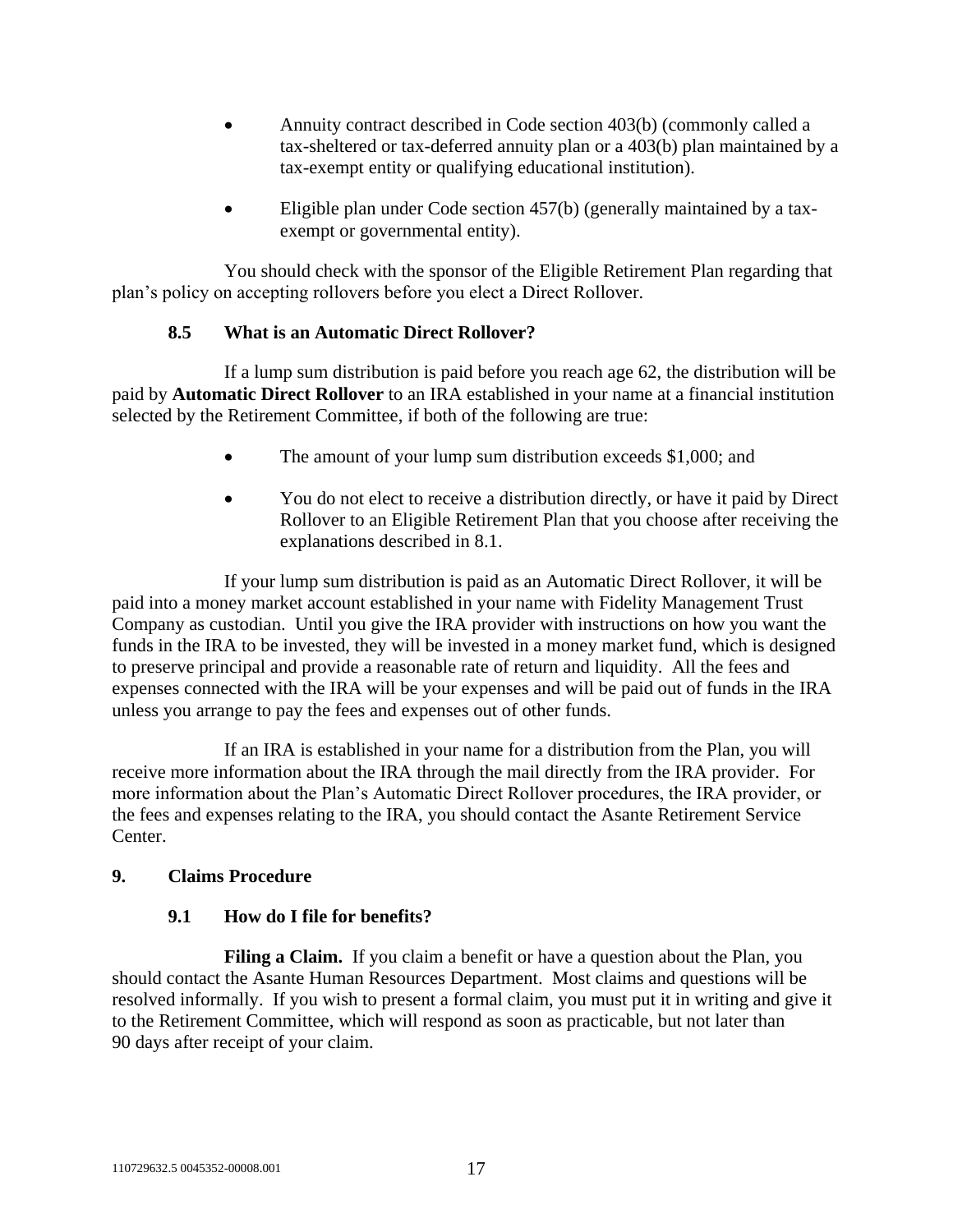- Annuity contract described in Code section 403(b) (commonly called a tax-sheltered or tax-deferred annuity plan or a 403(b) plan maintained by a tax-exempt entity or qualifying educational institution).
- Eligible plan under Code section 457(b) (generally maintained by a taxexempt or governmental entity).

You should check with the sponsor of the Eligible Retirement Plan regarding that plan's policy on accepting rollovers before you elect a Direct Rollover.

## **8.5 What is an Automatic Direct Rollover?**

<span id="page-20-0"></span>If a lump sum distribution is paid before you reach age 62, the distribution will be paid by **Automatic Direct Rollover** to an IRA established in your name at a financial institution selected by the Retirement Committee, if both of the following are true:

- The amount of your lump sum distribution exceeds \$1,000; and
- You do not elect to receive a distribution directly, or have it paid by Direct Rollover to an Eligible Retirement Plan that you choose after receiving the explanations described in [8.1.](#page-18-1)

If your lump sum distribution is paid as an Automatic Direct Rollover, it will be paid into a money market account established in your name with Fidelity Management Trust Company as custodian. Until you give the IRA provider with instructions on how you want the funds in the IRA to be invested, they will be invested in a money market fund, which is designed to preserve principal and provide a reasonable rate of return and liquidity. All the fees and expenses connected with the IRA will be your expenses and will be paid out of funds in the IRA unless you arrange to pay the fees and expenses out of other funds.

If an IRA is established in your name for a distribution from the Plan, you will receive more information about the IRA through the mail directly from the IRA provider. For more information about the Plan's Automatic Direct Rollover procedures, the IRA provider, or the fees and expenses relating to the IRA, you should contact the Asante Retirement Service Center.

## **9. Claims Procedure**

#### **9.1 How do I file for benefits?**

**Filing a Claim.** If you claim a benefit or have a question about the Plan, you should contact the Asante Human Resources Department. Most claims and questions will be resolved informally. If you wish to present a formal claim, you must put it in writing and give it to the Retirement Committee, which will respond as soon as practicable, but not later than 90 days after receipt of your claim.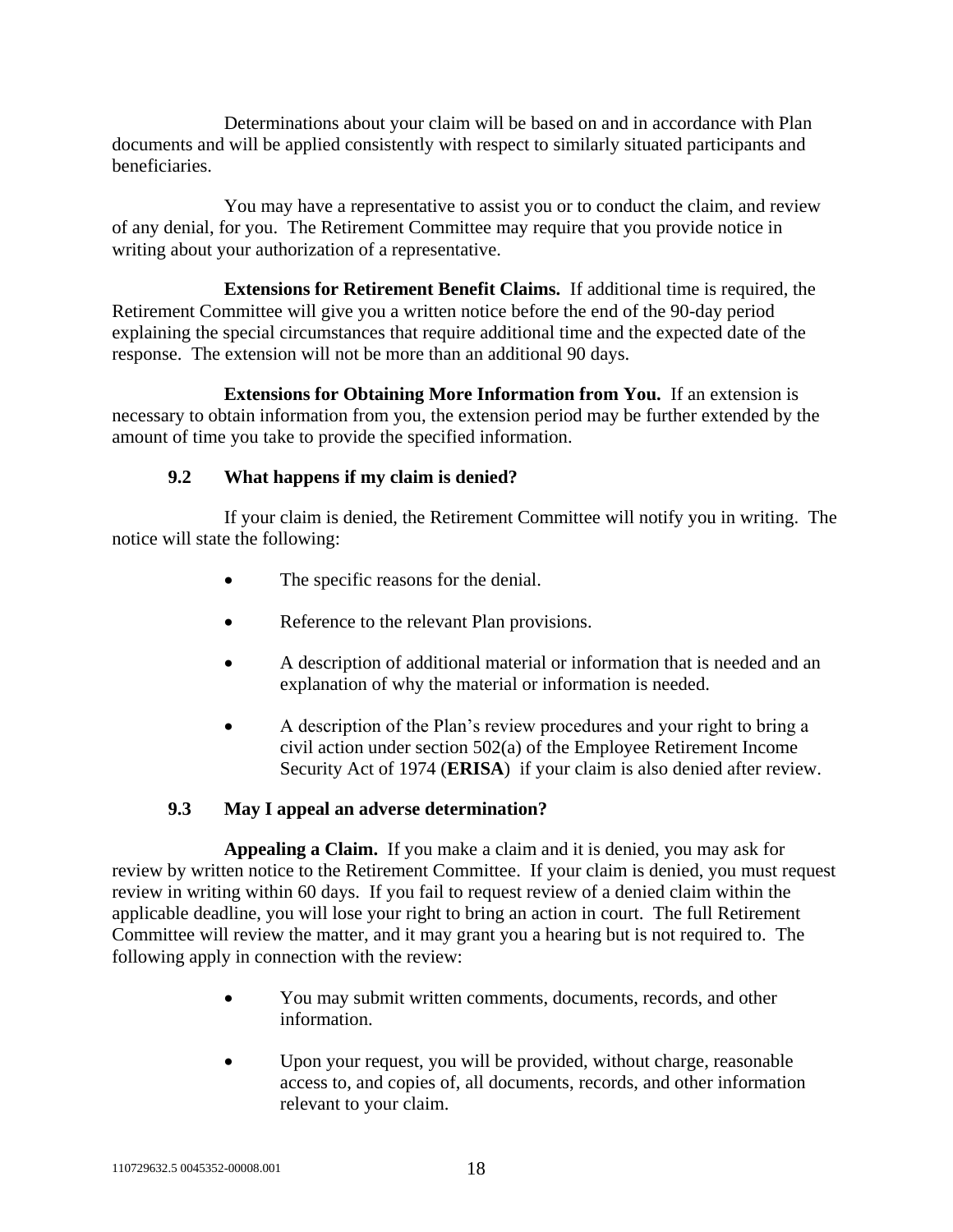Determinations about your claim will be based on and in accordance with Plan documents and will be applied consistently with respect to similarly situated participants and beneficiaries.

You may have a representative to assist you or to conduct the claim, and review of any denial, for you. The Retirement Committee may require that you provide notice in writing about your authorization of a representative.

**Extensions for Retirement Benefit Claims.** If additional time is required, the Retirement Committee will give you a written notice before the end of the 90-day period explaining the special circumstances that require additional time and the expected date of the response. The extension will not be more than an additional 90 days.

**Extensions for Obtaining More Information from You.** If an extension is necessary to obtain information from you, the extension period may be further extended by the amount of time you take to provide the specified information.

## **9.2 What happens if my claim is denied?**

If your claim is denied, the Retirement Committee will notify you in writing. The notice will state the following:

- The specific reasons for the denial.
- Reference to the relevant Plan provisions.
- A description of additional material or information that is needed and an explanation of why the material or information is needed.
- A description of the Plan's review procedures and your right to bring a civil action under section 502(a) of the Employee Retirement Income Security Act of 1974 (**ERISA**) if your claim is also denied after review.

## **9.3 May I appeal an adverse determination?**

**Appealing a Claim.** If you make a claim and it is denied, you may ask for review by written notice to the Retirement Committee. If your claim is denied, you must request review in writing within 60 days. If you fail to request review of a denied claim within the applicable deadline, you will lose your right to bring an action in court. The full Retirement Committee will review the matter, and it may grant you a hearing but is not required to. The following apply in connection with the review:

- You may submit written comments, documents, records, and other information.
- Upon your request, you will be provided, without charge, reasonable access to, and copies of, all documents, records, and other information relevant to your claim.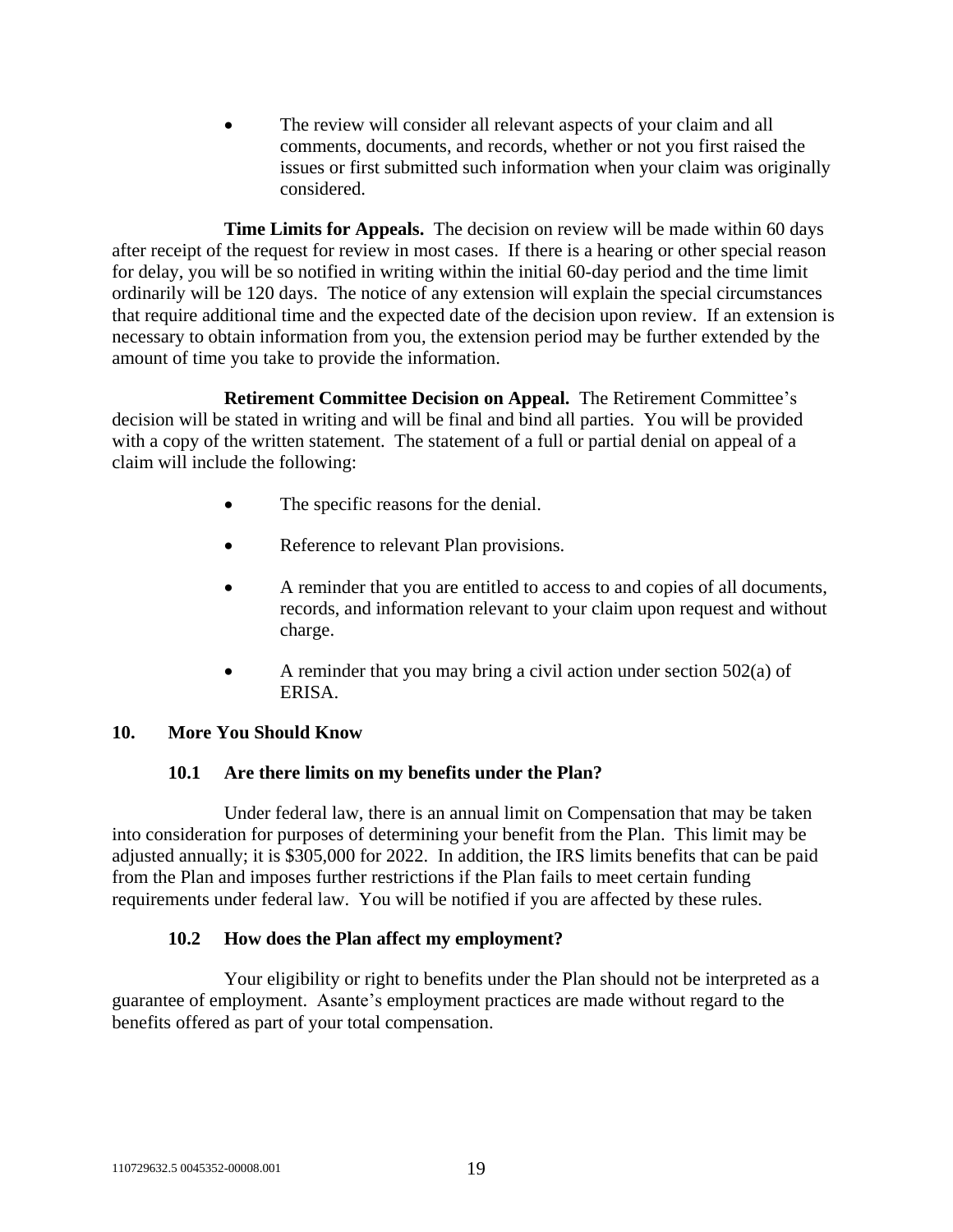The review will consider all relevant aspects of your claim and all comments, documents, and records, whether or not you first raised the issues or first submitted such information when your claim was originally considered.

**Time Limits for Appeals.** The decision on review will be made within 60 days after receipt of the request for review in most cases. If there is a hearing or other special reason for delay, you will be so notified in writing within the initial 60-day period and the time limit ordinarily will be 120 days. The notice of any extension will explain the special circumstances that require additional time and the expected date of the decision upon review. If an extension is necessary to obtain information from you, the extension period may be further extended by the amount of time you take to provide the information.

**Retirement Committee Decision on Appeal.** The Retirement Committee's decision will be stated in writing and will be final and bind all parties. You will be provided with a copy of the written statement. The statement of a full or partial denial on appeal of a claim will include the following:

- The specific reasons for the denial.
- Reference to relevant Plan provisions.
- A reminder that you are entitled to access to and copies of all documents, records, and information relevant to your claim upon request and without charge.
- A reminder that you may bring a civil action under section 502(a) of ERISA.

## <span id="page-22-0"></span>**10. More You Should Know**

#### **10.1 Are there limits on my benefits under the Plan?**

Under federal law, there is an annual limit on Compensation that may be taken into consideration for purposes of determining your benefit from the Plan. This limit may be adjusted annually; it is \$305,000 for 2022. In addition, the IRS limits benefits that can be paid from the Plan and imposes further restrictions if the Plan fails to meet certain funding requirements under federal law. You will be notified if you are affected by these rules.

## **10.2 How does the Plan affect my employment?**

Your eligibility or right to benefits under the Plan should not be interpreted as a guarantee of employment. Asante's employment practices are made without regard to the benefits offered as part of your total compensation.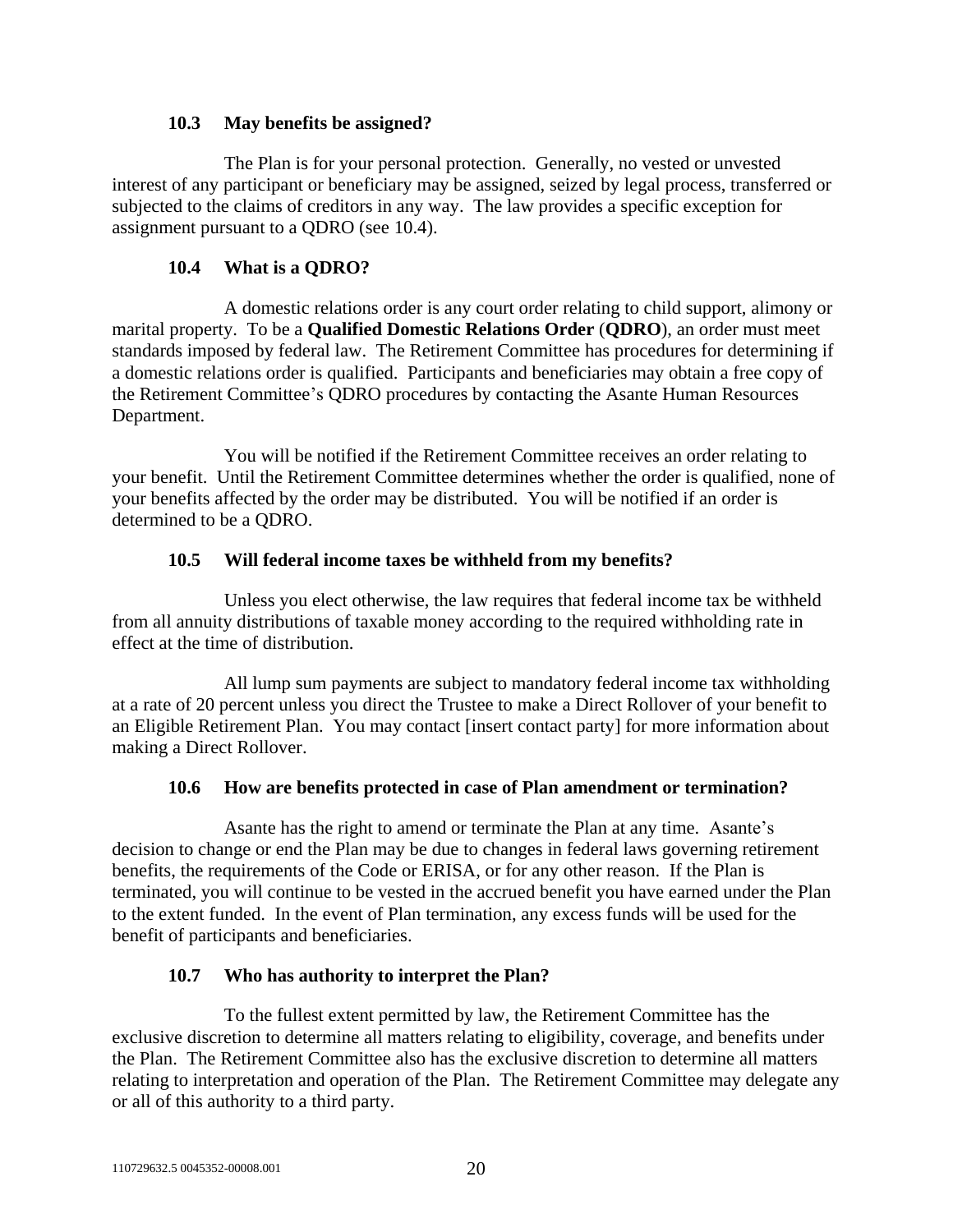#### **10.3 May benefits be assigned?**

The Plan is for your personal protection. Generally, no vested or unvested interest of any participant or beneficiary may be assigned, seized by legal process, transferred or subjected to the claims of creditors in any way. The law provides a specific exception for assignment pursuant to a QDRO (see [10.4\)](#page-23-0).

## **10.4 What is a QDRO?**

<span id="page-23-0"></span>A domestic relations order is any court order relating to child support, alimony or marital property. To be a **Qualified Domestic Relations Order** (**QDRO**), an order must meet standards imposed by federal law. The Retirement Committee has procedures for determining if a domestic relations order is qualified. Participants and beneficiaries may obtain a free copy of the Retirement Committee's QDRO procedures by contacting the Asante Human Resources Department.

You will be notified if the Retirement Committee receives an order relating to your benefit. Until the Retirement Committee determines whether the order is qualified, none of your benefits affected by the order may be distributed. You will be notified if an order is determined to be a QDRO.

## **10.5 Will federal income taxes be withheld from my benefits?**

Unless you elect otherwise, the law requires that federal income tax be withheld from all annuity distributions of taxable money according to the required withholding rate in effect at the time of distribution.

All lump sum payments are subject to mandatory federal income tax withholding at a rate of 20 percent unless you direct the Trustee to make a Direct Rollover of your benefit to an Eligible Retirement Plan. You may contact [insert contact party] for more information about making a Direct Rollover.

# **10.6 How are benefits protected in case of Plan amendment or termination?**

Asante has the right to amend or terminate the Plan at any time. Asante's decision to change or end the Plan may be due to changes in federal laws governing retirement benefits, the requirements of the Code or ERISA, or for any other reason. If the Plan is terminated, you will continue to be vested in the accrued benefit you have earned under the Plan to the extent funded. In the event of Plan termination, any excess funds will be used for the benefit of participants and beneficiaries.

# **10.7 Who has authority to interpret the Plan?**

To the fullest extent permitted by law, the Retirement Committee has the exclusive discretion to determine all matters relating to eligibility, coverage, and benefits under the Plan. The Retirement Committee also has the exclusive discretion to determine all matters relating to interpretation and operation of the Plan. The Retirement Committee may delegate any or all of this authority to a third party.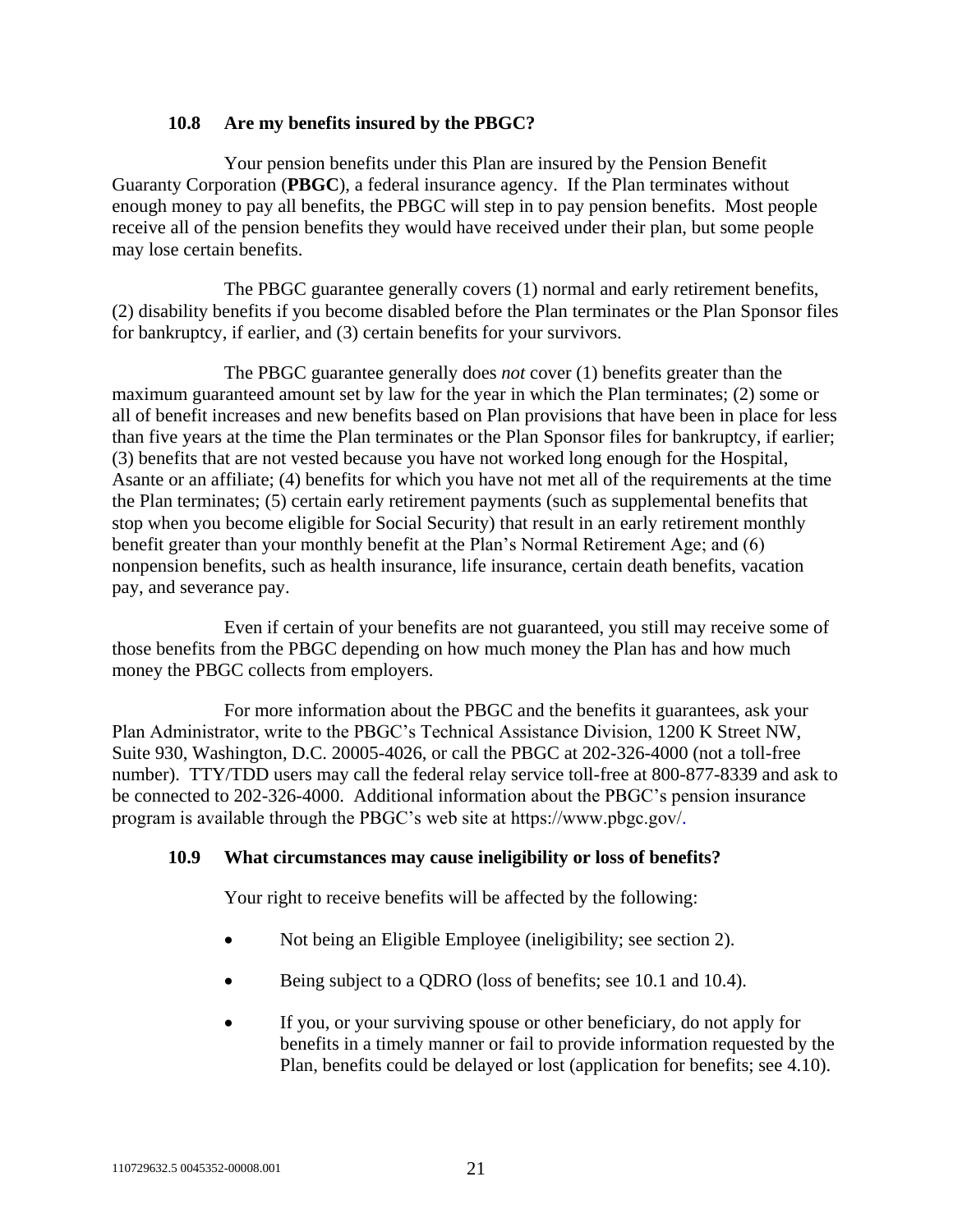#### **10.8 Are my benefits insured by the PBGC?**

Your pension benefits under this Plan are insured by the Pension Benefit Guaranty Corporation (**PBGC**), a federal insurance agency. If the Plan terminates without enough money to pay all benefits, the PBGC will step in to pay pension benefits. Most people receive all of the pension benefits they would have received under their plan, but some people may lose certain benefits.

The PBGC guarantee generally covers (1) normal and early retirement benefits, (2) disability benefits if you become disabled before the Plan terminates or the Plan Sponsor files for bankruptcy, if earlier, and (3) certain benefits for your survivors.

The PBGC guarantee generally does *not* cover (1) benefits greater than the maximum guaranteed amount set by law for the year in which the Plan terminates; (2) some or all of benefit increases and new benefits based on Plan provisions that have been in place for less than five years at the time the Plan terminates or the Plan Sponsor files for bankruptcy, if earlier; (3) benefits that are not vested because you have not worked long enough for the Hospital, Asante or an affiliate; (4) benefits for which you have not met all of the requirements at the time the Plan terminates; (5) certain early retirement payments (such as supplemental benefits that stop when you become eligible for Social Security) that result in an early retirement monthly benefit greater than your monthly benefit at the Plan's Normal Retirement Age; and (6) nonpension benefits, such as health insurance, life insurance, certain death benefits, vacation pay, and severance pay.

Even if certain of your benefits are not guaranteed, you still may receive some of those benefits from the PBGC depending on how much money the Plan has and how much money the PBGC collects from employers.

For more information about the PBGC and the benefits it guarantees, ask your Plan Administrator, write to the PBGC's Technical Assistance Division, 1200 K Street NW, Suite 930, Washington, D.C. 20005-4026, or call the PBGC at 202-326-4000 (not a toll-free number). TTY/TDD users may call the federal relay service toll-free at 800-877-8339 and ask to be connected to 202-326-4000. Additional information about the PBGC's pension insurance program is available through the PBGC's web site at https://www.pbgc.gov[/.](http://www.pbgc.gov./)

## **10.9 What circumstances may cause ineligibility or loss of benefits?**

Your right to receive benefits will be affected by the following:

- Not being an Eligible Employee (ineligibility; see section [2\)](#page-5-0).
- Being subject to a QDRO (loss of benefits; see [10.1](#page-22-0) and [10.4\)](#page-23-0).
- If you, or your surviving spouse or other beneficiary, do not apply for benefits in a timely manner or fail to provide information requested by the Plan, benefits could be delayed or lost (application for benefits; see [4.10\)](#page-13-0).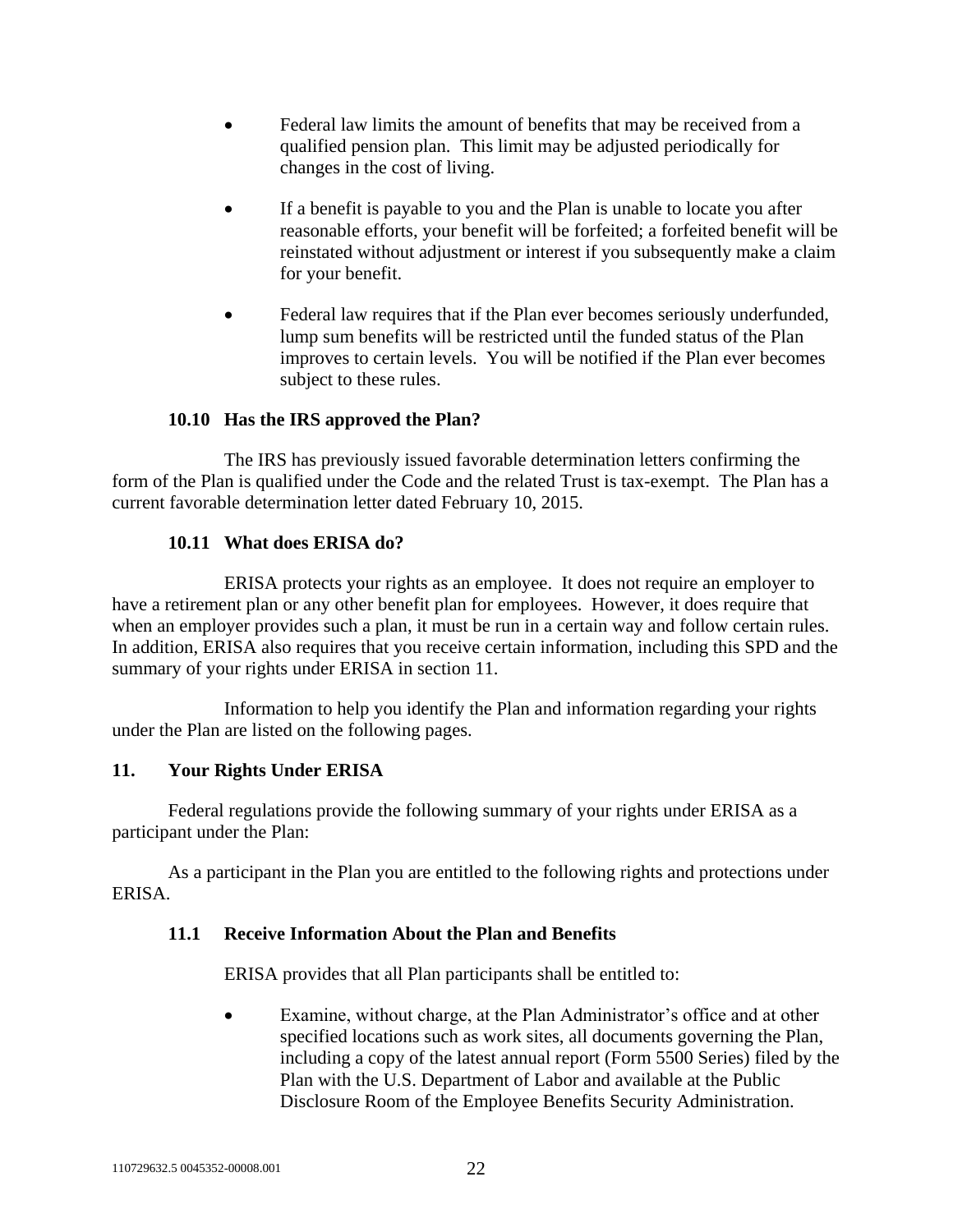- Federal law limits the amount of benefits that may be received from a qualified pension plan. This limit may be adjusted periodically for changes in the cost of living.
- If a benefit is payable to you and the Plan is unable to locate you after reasonable efforts, your benefit will be forfeited; a forfeited benefit will be reinstated without adjustment or interest if you subsequently make a claim for your benefit.
- Federal law requires that if the Plan ever becomes seriously underfunded, lump sum benefits will be restricted until the funded status of the Plan improves to certain levels. You will be notified if the Plan ever becomes subject to these rules.

## **10.10 Has the IRS approved the Plan?**

The IRS has previously issued favorable determination letters confirming the form of the Plan is qualified under the Code and the related Trust is tax-exempt. The Plan has a current favorable determination letter dated February 10, 2015.

## **10.11 What does ERISA do?**

ERISA protects your rights as an employee. It does not require an employer to have a retirement plan or any other benefit plan for employees. However, it does require that when an employer provides such a plan, it must be run in a certain way and follow certain rules. In addition, ERISA also requires that you receive certain information, including this SPD and the summary of your rights under ERISA in section [11.](#page-25-0)

Information to help you identify the Plan and information regarding your rights under the Plan are listed on the following pages.

## <span id="page-25-0"></span>**11. Your Rights Under ERISA**

Federal regulations provide the following summary of your rights under ERISA as a participant under the Plan:

As a participant in the Plan you are entitled to the following rights and protections under ERISA.

#### **11.1 Receive Information About the Plan and Benefits**

ERISA provides that all Plan participants shall be entitled to:

• Examine, without charge, at the Plan Administrator's office and at other specified locations such as work sites, all documents governing the Plan, including a copy of the latest annual report (Form 5500 Series) filed by the Plan with the U.S. Department of Labor and available at the Public Disclosure Room of the Employee Benefits Security Administration.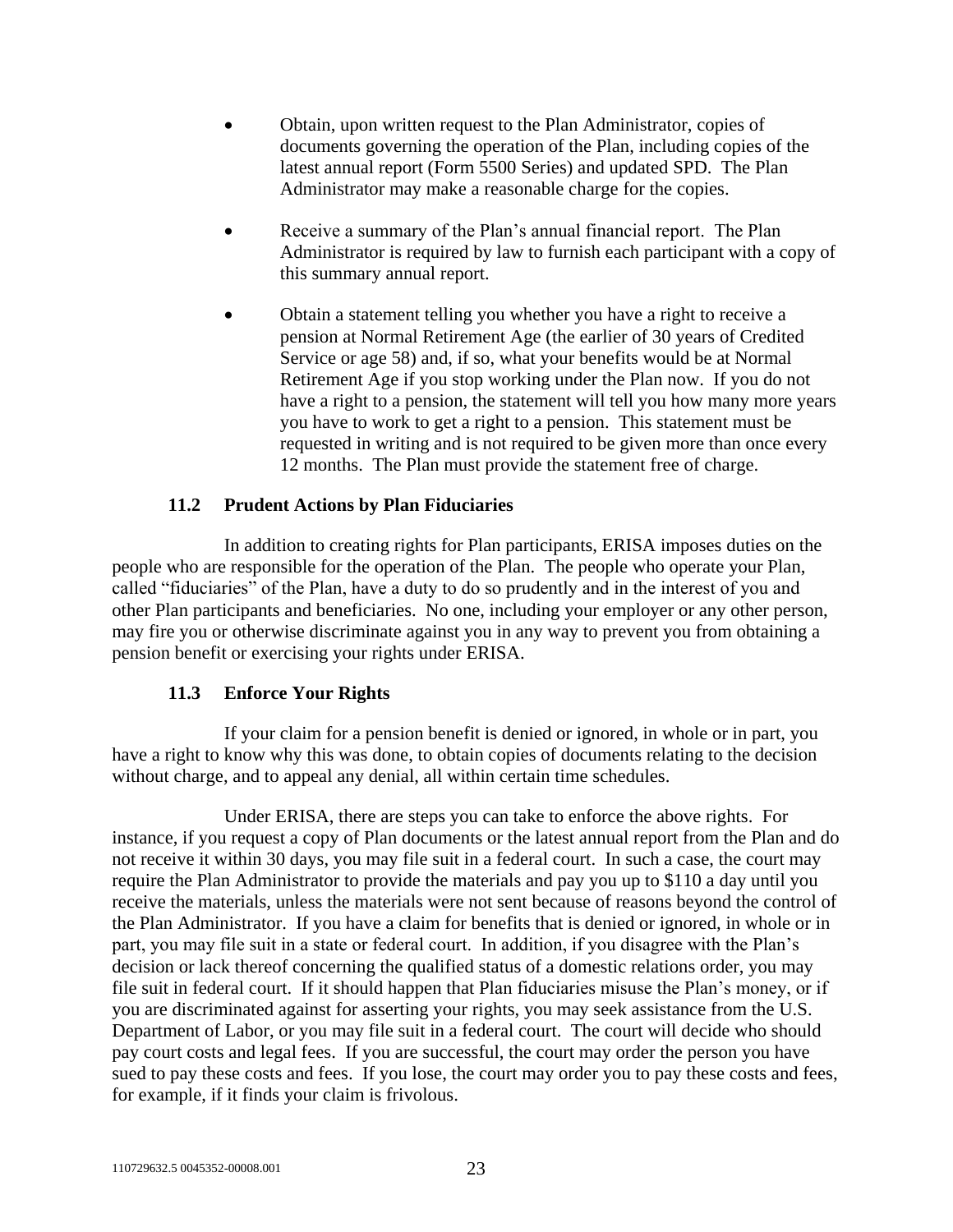- Obtain, upon written request to the Plan Administrator, copies of documents governing the operation of the Plan, including copies of the latest annual report (Form 5500 Series) and updated SPD. The Plan Administrator may make a reasonable charge for the copies.
- Receive a summary of the Plan's annual financial report. The Plan Administrator is required by law to furnish each participant with a copy of this summary annual report.
- Obtain a statement telling you whether you have a right to receive a pension at Normal Retirement Age (the earlier of 30 years of Credited Service or age 58) and, if so, what your benefits would be at Normal Retirement Age if you stop working under the Plan now. If you do not have a right to a pension, the statement will tell you how many more years you have to work to get a right to a pension. This statement must be requested in writing and is not required to be given more than once every 12 months. The Plan must provide the statement free of charge.

## **11.2 Prudent Actions by Plan Fiduciaries**

In addition to creating rights for Plan participants, ERISA imposes duties on the people who are responsible for the operation of the Plan. The people who operate your Plan, called "fiduciaries" of the Plan, have a duty to do so prudently and in the interest of you and other Plan participants and beneficiaries. No one, including your employer or any other person, may fire you or otherwise discriminate against you in any way to prevent you from obtaining a pension benefit or exercising your rights under ERISA.

## **11.3 Enforce Your Rights**

If your claim for a pension benefit is denied or ignored, in whole or in part, you have a right to know why this was done, to obtain copies of documents relating to the decision without charge, and to appeal any denial, all within certain time schedules.

Under ERISA, there are steps you can take to enforce the above rights. For instance, if you request a copy of Plan documents or the latest annual report from the Plan and do not receive it within 30 days, you may file suit in a federal court. In such a case, the court may require the Plan Administrator to provide the materials and pay you up to \$110 a day until you receive the materials, unless the materials were not sent because of reasons beyond the control of the Plan Administrator. If you have a claim for benefits that is denied or ignored, in whole or in part, you may file suit in a state or federal court. In addition, if you disagree with the Plan's decision or lack thereof concerning the qualified status of a domestic relations order, you may file suit in federal court. If it should happen that Plan fiduciaries misuse the Plan's money, or if you are discriminated against for asserting your rights, you may seek assistance from the U.S. Department of Labor, or you may file suit in a federal court. The court will decide who should pay court costs and legal fees. If you are successful, the court may order the person you have sued to pay these costs and fees. If you lose, the court may order you to pay these costs and fees, for example, if it finds your claim is frivolous.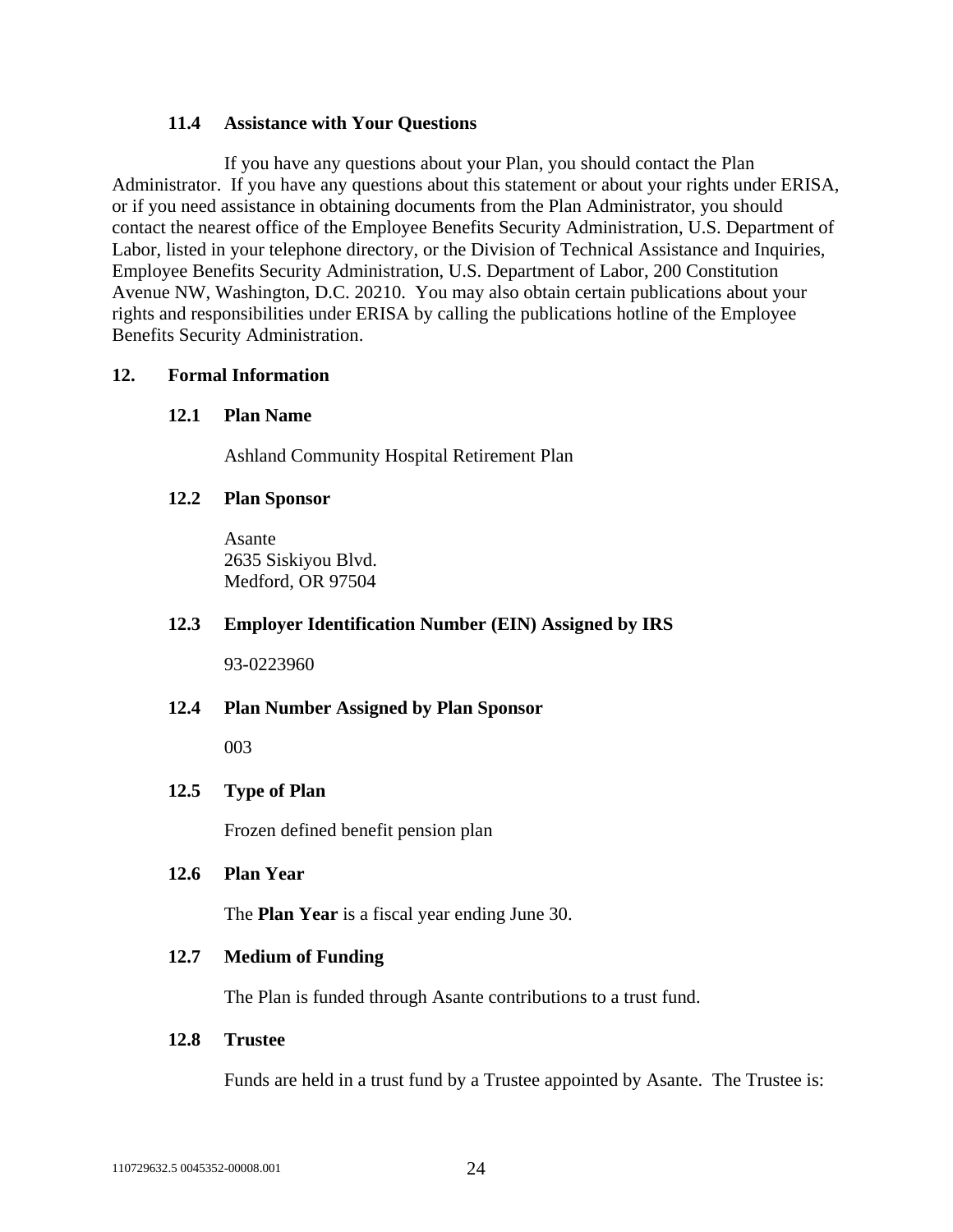#### **11.4 Assistance with Your Questions**

If you have any questions about your Plan, you should contact the Plan Administrator. If you have any questions about this statement or about your rights under ERISA, or if you need assistance in obtaining documents from the Plan Administrator, you should contact the nearest office of the Employee Benefits Security Administration, U.S. Department of Labor, listed in your telephone directory, or the Division of Technical Assistance and Inquiries, Employee Benefits Security Administration, U.S. Department of Labor, 200 Constitution Avenue NW, Washington, D.C. 20210. You may also obtain certain publications about your rights and responsibilities under ERISA by calling the publications hotline of the Employee Benefits Security Administration.

#### **12. Formal Information**

## **12.1 Plan Name**

Ashland Community Hospital Retirement Plan

#### **12.2 Plan Sponsor**

Asante 2635 Siskiyou Blvd. Medford, OR 97504

#### **12.3 Employer Identification Number (EIN) Assigned by IRS**

93-0223960

#### **12.4 Plan Number Assigned by Plan Sponsor**

003

#### **12.5 Type of Plan**

Frozen defined benefit pension plan

#### **12.6 Plan Year**

The **Plan Year** is a fiscal year ending June 30.

#### **12.7 Medium of Funding**

The Plan is funded through Asante contributions to a trust fund.

#### **12.8 Trustee**

Funds are held in a trust fund by a Trustee appointed by Asante. The Trustee is: